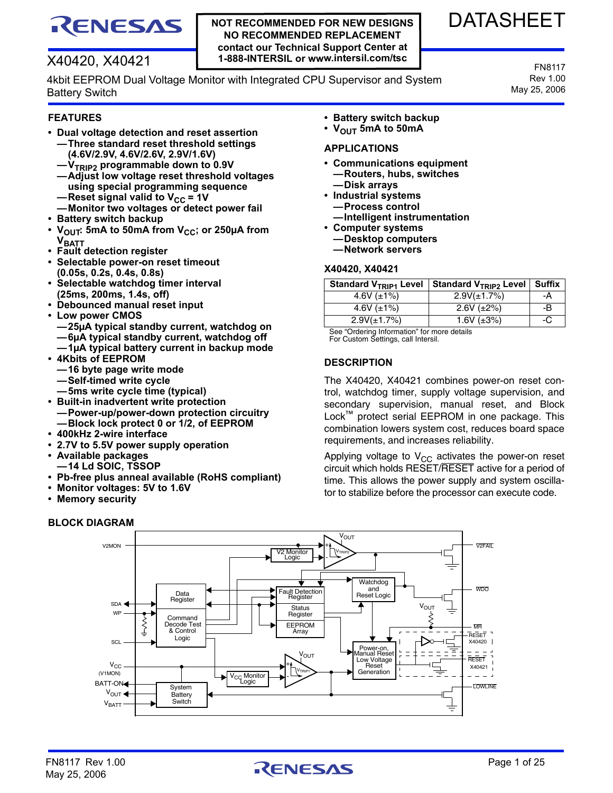# RENESAS

# X40420, X40421

4kbit EEPROM Dual Voltage Monitor with Integrated CPU Supervisor and System Battery Switch

#### **FEATURES**

- **Dual voltage detection and reset assertion —Three standard reset threshold settings (4.6V/2.9V, 4.6V/2.6V, 2.9V/1.6V)**
	- **—VTRIP2 programmable down to 0.9V**
	- **—Adjust low voltage reset threshold voltages using special programming sequence**
	- —Reset signal valid to  $V_{CC}$  = 1V **—Monitor two voltages or detect power fail**
- **Battery switch backup**
- V<sub>OUT</sub>: 5mA to 50mA from V<sub>CC</sub>; or 250µA from **V**BATT
- **Fault detection register**
- **Selectable power-on reset timeout (0.05s, 0.2s, 0.4s, 0.8s)**
- **Selectable watchdog timer interval (25ms, 200ms, 1.4s, off)**
- **Debounced manual reset input**
- **Low power CMOS —25µA typical standby current, watchdog on —6µA typical standby current, watchdog off**
- **—1µA typical battery current in backup mode • 4Kbits of EEPROM**
	- **—16 byte page write mode**
	- **—Self-timed write cycle**
	- **—5ms write cycle time (typical)**
- **Built-in inadvertent write protection —Power-up/power-down protection circuitry —Block lock protect 0 or 1/2, of EEPROM**
- **400kHz 2-wire interface**
- **2.7V to 5.5V power supply operation**
- **Available packages**
- **—14 Ld SOIC, TSSOP**
- **Pb-free plus anneal available (RoHS compliant)**
- **Monitor voltages: 5V to 1.6V**
- **Memory security**

# **BLOCK DIAGRAM**

- **Battery switch backup**
- $\cdot$  V<sub>OUT</sub> 5mA to 50mA

# **APPLICATIONS**

**NOT RECOMMENDED FOR NEW DESIGNS NO RECOMMENDED REPLACEMENT contact our Technical Support Center at 1-888-INTERSIL or www.intersil.com/tsc**

- **Communications equipment —Routers, hubs, switches —Disk arrays**
- **Industrial systems —Process control**
- **—Intelligent instrumentation**
- **Computer systems**
	- **—Desktop computers**
	- **—Network servers**

#### **X40420, X40421**

| Standard V <sub>TRIP1</sub> Level | Standard V <sub>TRIP2</sub> Level   Suffix |    |
|-----------------------------------|--------------------------------------------|----|
| 4.6V $(\pm 1\%)$                  | $2.9V(\pm 1.7%)$                           | -A |
| 4.6V $(\pm 1\%)$                  | $2.6V (\pm 2\%)$                           | -B |
| $2.9V(\pm 1.7%)$                  | 1.6V $(\pm 3\%)$                           | -C |

See "Ordering Information" for more details For Custom Settings, call Intersil.

## **DESCRIPTION**

The X40420, X40421 combines power-on reset control, watchdog timer, supply voltage supervision, and secondary supervision, manual reset, and Block Lock™ protect serial EEPROM in one package. This combination lowers system cost, reduces board space requirements, and increases reliability.

Applying voltage to  $V_{CC}$  activates the power-on reset circuit which holds RESET/RESET active for a period of time. This allows the power supply and system oscillator to stabilize before the processor can execute code.





DATASHEET

FN8117 Rev 1.00 May 25, 2006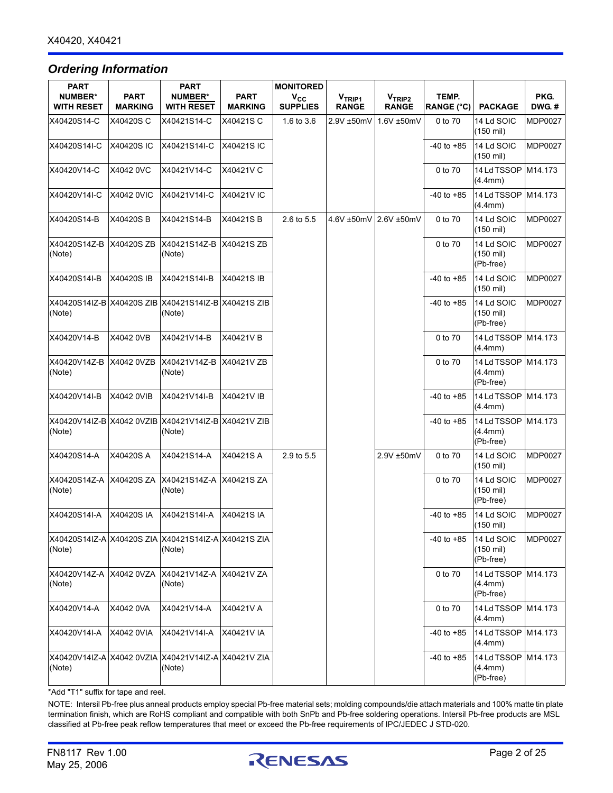# *Ordering Information*

| PART                                |                               | <b>PART</b>                                                   |                               | <b>MONITORED</b>                |                                    |                                    |                            |                                                |                |
|-------------------------------------|-------------------------------|---------------------------------------------------------------|-------------------------------|---------------------------------|------------------------------------|------------------------------------|----------------------------|------------------------------------------------|----------------|
| <b>NUMBER*</b><br><b>WITH RESET</b> | <b>PART</b><br><b>MARKING</b> | <b>NUMBER*</b><br><b>WITH RESET</b>                           | <b>PART</b><br><b>MARKING</b> | $V_{\rm CC}$<br><b>SUPPLIES</b> | V <sub>TRIP1</sub><br><b>RANGE</b> | V <sub>TRIP2</sub><br><b>RANGE</b> | TEMP.<br><b>RANGE (°C)</b> | <b>PACKAGE</b>                                 | PKG.<br>DWG.#  |
| X40420S14-C                         | X40420SC                      | X40421S14-C                                                   | X40421S C                     | 1.6 to 3.6                      | 2.9V ±50mV                         | 1.6V ±50mV                         | 0 to 70                    | 14 Ld SOIC<br>$(150 \text{ mil})$              | <b>MDP0027</b> |
| X40420S14I-C                        | X40420S IC                    | X40421S14I-C                                                  | X40421SIC                     |                                 |                                    |                                    | $-40$ to $+85$             | 14 Ld SOIC<br>$(150 \text{ mil})$              | <b>MDP0027</b> |
| X40420V14-C                         | X4042 0VC                     | X40421V14-C                                                   | X40421V C                     |                                 |                                    |                                    | 0 to 70                    | 14 Ld TSSOP   M14.173<br>(4.4mm)               |                |
| X40420V14I-C                        | X4042 0VIC                    | X40421V14I-C                                                  | X40421V IC                    |                                 |                                    |                                    | $-40$ to $+85$             | 14 Ld TSSOP   M14.173<br>(4.4mm)               |                |
| X40420S14-B                         | X40420SB                      | X40421S14-B                                                   | X40421SB                      | 2.6 to 5.5                      |                                    | 4.6V ±50mV 2.6V ±50mV              | 0 to 70                    | 14 Ld SOIC<br>$(150 \text{ mil})$              | <b>MDP0027</b> |
| X40420S14Z-B<br>(Note)              | X40420S ZB                    | X40421S14Z-B<br>(Note)                                        | X40421S ZB                    |                                 |                                    |                                    | 0 to 70                    | 14 Ld SOIC<br>$(150 \text{ mil})$<br>(Pb-free) | <b>MDP0027</b> |
| X40420S14I-B                        | X40420S IB                    | X40421S14I-B                                                  | X40421S IB                    |                                 |                                    |                                    | $-40$ to $+85$             | 14 Ld SOIC<br>$(150 \text{ mil})$              | <b>MDP0027</b> |
| (Note)                              |                               | X40420S14IZ-B X40420S ZIB X40421S14IZ-B X40421S ZIB<br>(Note) |                               |                                 |                                    |                                    | $-40$ to $+85$             | 14 Ld SOIC<br>$(150 \text{ mil})$<br>(Pb-free) | <b>MDP0027</b> |
| X40420V14-B                         | X4042 0VB                     | X40421V14-B                                                   | X40421VB                      |                                 |                                    |                                    | 0 to 70                    | 14 Ld TSSOP   M14.173<br>(4.4mm)               |                |
| X40420V14Z-B<br>(Note)              | X4042 0VZB                    | X40421V14Z-B<br>(Note)                                        | X40421V ZB                    |                                 |                                    |                                    | 0 to 70                    | 14 Ld TSSOP M14.173<br>(4.4mm)<br>(Pb-free)    |                |
| X40420V14I-B                        | X4042 0VIB                    | X40421V14I-B                                                  | X40421V IB                    |                                 |                                    |                                    | $-40$ to $+85$             | 14 Ld TSSOP   M14.173<br>(4.4mm)               |                |
| X40420V14IZ-B X4042 0VZIB<br>(Note) |                               | X40421V14IZ-B X40421V ZIB<br>(Note)                           |                               |                                 |                                    |                                    | $-40$ to $+85$             | 14 Ld TSSOP   M14.173<br>(4.4mm)<br>(Pb-free)  |                |
| X40420S14-A                         | X40420S A                     | X40421S14-A                                                   | X40421S A                     | 2.9 to 5.5                      |                                    | 2.9V ±50mV                         | 0 to 70                    | 14 Ld SOIC<br>$(150 \text{ mil})$              | <b>MDP0027</b> |
| X40420S14Z-A<br>(Note)              | X40420S ZA                    | X40421S14Z-A<br>(Note)                                        | X40421S ZA                    |                                 |                                    |                                    | 0 to 70                    | 14 Ld SOIC<br>$(150 \text{ mil})$<br>(Pb-free) | <b>MDP0027</b> |
| X40420S14I-A                        | <b>X40420SIA</b>              | X40421S14I-A                                                  | X40421S IA                    |                                 |                                    |                                    | $-40$ to $+85$             | 14 Ld SOIC<br>(150 mil)                        | <b>MDP0027</b> |
| (Note)                              |                               | X40420S14IZ-A X40420S ZIA X40421S14IZ-A X40421S ZIA<br>(Note) |                               |                                 |                                    |                                    | $-40$ to $+85$             | 14 Ld SOIC<br>$(150 \text{ mil})$<br>(Pb-free) | <b>MDP0027</b> |
| X40420V14Z-A X4042 0VZA<br>(Note)   |                               | X40421V14Z-A X40421V ZA<br>(Note)                             |                               |                                 |                                    |                                    | 0 to 70                    | 14 Ld TSSOP M14.173<br>(4.4mm)<br>(Pb-free)    |                |
| X40420V14-A                         | X4042 0VA                     | X40421V14-A                                                   | X40421V A                     |                                 |                                    |                                    | 0 to 70                    | 14 Ld TSSOP M14.173<br>(4.4mm)                 |                |
| X40420V14I-A                        | X4042 0VIA                    | X40421V14I-A                                                  | X40421V IA                    |                                 |                                    |                                    | $-40$ to $+85$             | 14 Ld TSSOP M14.173<br>(4.4mm)                 |                |
| (Note)                              |                               | X40420V14IZ-A X4042 0VZIA X40421V14IZ-A X40421V ZIA<br>(Note) |                               |                                 |                                    |                                    | $-40$ to $+85$             | 14 Ld TSSOP   M14.173<br>(4.4mm)<br>(Pb-free)  |                |

\*Add "T1" suffix for tape and reel.

NOTE: Intersil Pb-free plus anneal products employ special Pb-free material sets; molding compounds/die attach materials and 100% matte tin plate termination finish, which are RoHS compliant and compatible with both SnPb and Pb-free soldering operations. Intersil Pb-free products are MSL classified at Pb-free peak reflow temperatures that meet or exceed the Pb-free requirements of IPC/JEDEC J STD-020.

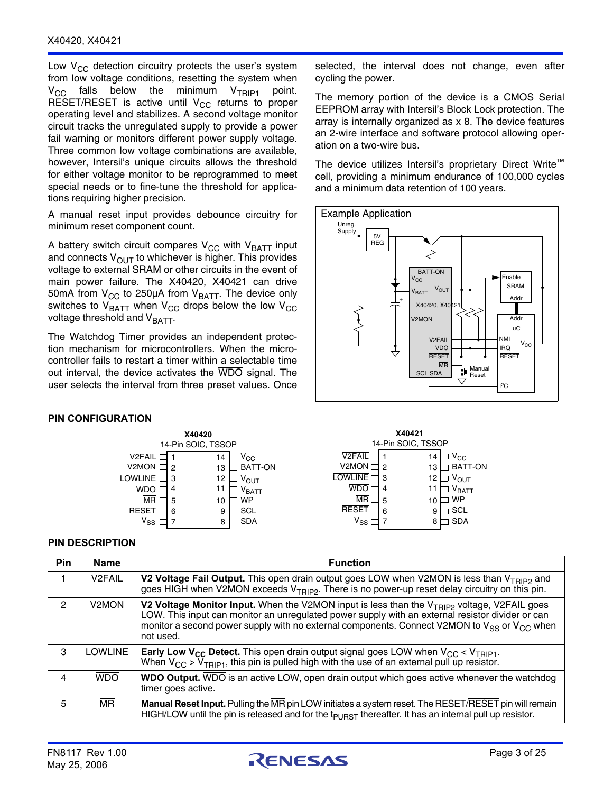Low  $V_{CC}$  detection circuitry protects the user's system from low voltage conditions, resetting the system when  $V_{CC}$  falls below the minimum  $V_{TRIP1}$  point. RESET/RESET is active until  $V_{CC}$  returns to proper operating level and stabilizes. A second voltage monitor circuit tracks the unregulated supply to provide a power fail warning or monitors different power supply voltage. Three common low voltage combinations are available, however, Intersil's unique circuits allows the threshold for either voltage monitor to be reprogrammed to meet special needs or to fine-tune the threshold for applications requiring higher precision.

A manual reset input provides debounce circuitry for minimum reset component count.

A battery switch circuit compares  $V_{CC}$  with  $V_{BAT}$  input and connects  $V_{OUT}$  to whichever is higher. This provides voltage to external SRAM or other circuits in the event of main power failure. The X40420, X40421 can drive 50mA from  $V_{CC}$  to 250µA from  $V_{BATT}$ . The device only switches to  $V_{BATT}$  when  $V_{CC}$  drops below the low  $V_{CC}$ voltage threshold and  $V_{BAT}$ .

The Watchdog Timer provides an independent protection mechanism for microcontrollers. When the microcontroller fails to restart a timer within a selectable time out interval, the device activates the WDO signal. The user selects the interval from three preset values. Once

#### **PIN CONFIGURATION**



#### **PIN DESCRIPTION**

| <b>Pin</b> | <b>Name</b>              | <b>Function</b>                                                                                                                                                                                                                                                                                                            |
|------------|--------------------------|----------------------------------------------------------------------------------------------------------------------------------------------------------------------------------------------------------------------------------------------------------------------------------------------------------------------------|
|            | V <sub>2</sub> FAIL      | V2 Voltage Fail Output. This open drain output goes LOW when V2MON is less than V <sub>TRIP2</sub> and<br>goes HIGH when V2MON exceeds V <sub>TRIP2</sub> . There is no power-up reset delay circuitry on this pin.                                                                                                        |
| 2          | V <sub>2</sub> MON       | V2 Voltage Monitor Input. When the V2MON input is less than the $V_{TRIP2}$ voltage, V2FAIL goes<br>LOW. This input can monitor an unregulated power supply with an external resistor divider or can<br>monitor a second power supply with no external components. Connect V2MON to $V_{SS}$ or $V_{CC}$ when<br>not used. |
| 3          | <b>LOWLINE</b>           | <b>Early Low V<sub>CC</sub> Detect.</b> This open drain output signal goes LOW when V <sub>CC</sub> < V <sub>TRIP1</sub> .<br>When $V_{CC}$ > $V_{TRIP1}$ , this pin is pulled high with the use of an external pull up resistor.                                                                                          |
| 4          | <b>WDO</b>               | <b>WDO Output.</b> WDO is an active LOW, open drain output which goes active whenever the watchdog<br>timer goes active.                                                                                                                                                                                                   |
| 5.         | $\overline{\mathsf{MR}}$ | Manual Reset Input. Pulling the MR pin LOW initiates a system reset. The RESET/RESET pin will remain<br>HIGH/LOW until the pin is released and for the $t_{\text{PLAST}}$ thereafter. It has an internal pull up resistor.                                                                                                 |

selected, the interval does not change, even after cycling the power.

The memory portion of the device is a CMOS Serial EEPROM array with Intersil's Block Lock protection. The array is internally organized as x 8. The device features an 2-wire interface and software protocol allowing operation on a two-wire bus.

The device utilizes Intersil's proprietary Direct Write™ cell, providing a minimum endurance of 100,000 cycles and a minimum data retention of 100 years.



| X40420                                                                                                                                                                                                                                                                                               | X40421                                                                                                                   |  |  |  |  |  |  |  |
|------------------------------------------------------------------------------------------------------------------------------------------------------------------------------------------------------------------------------------------------------------------------------------------------------|--------------------------------------------------------------------------------------------------------------------------|--|--|--|--|--|--|--|
| SOIC, TSSOP                                                                                                                                                                                                                                                                                          | 14-Pin SOIC, TSSOP                                                                                                       |  |  |  |  |  |  |  |
| V <sub>2</sub> FAIL<br>$\mathsf{v}_{\mathsf{cc}}$<br>14<br>V2MON <sub>I</sub><br>BATT-ON<br>13<br>2<br>LOWLINE<br>12<br>3<br>$V_{\text{OUT}}$<br>11<br>$V_{\text{BATT}}$<br>4<br><b>MR</b><br><b>WP</b><br>5<br>10<br><b>RESET</b><br>SCL<br>9<br>6<br>$\mathsf{V}_{\mathsf{SS}}$<br><b>SDA</b><br>8 | $\rm v_{cc}$<br>14<br>BATT-ON<br>13<br>VOUT<br>12<br>V <sub>BATT</sub><br><b>WP</b><br>10<br>SCL<br>9<br><b>SDA</b><br>8 |  |  |  |  |  |  |  |

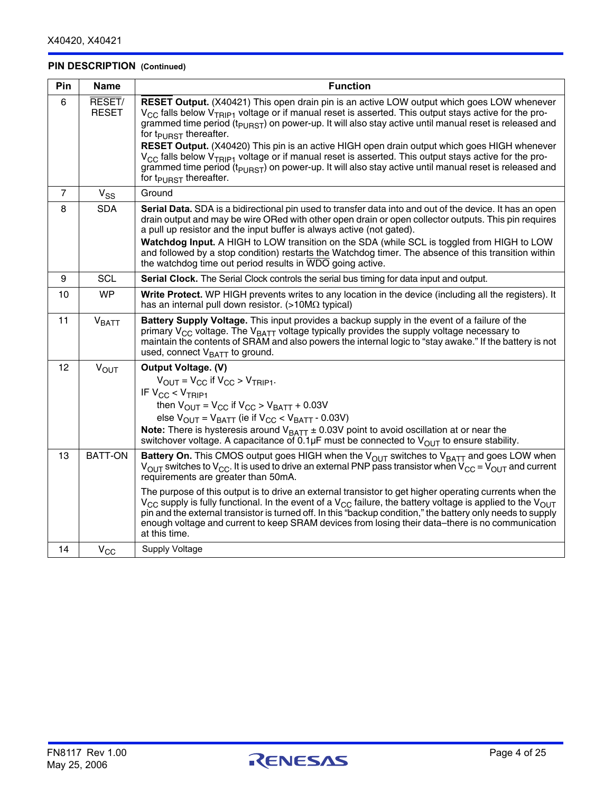# **PIN DESCRIPTION (Continued)**

| Pin            | <b>Name</b>            | <b>Function</b>                                                                                                                                                                                                                                                                                                                                                                                                                                                                                                                                                                                                                                                                                                                                                                       |
|----------------|------------------------|---------------------------------------------------------------------------------------------------------------------------------------------------------------------------------------------------------------------------------------------------------------------------------------------------------------------------------------------------------------------------------------------------------------------------------------------------------------------------------------------------------------------------------------------------------------------------------------------------------------------------------------------------------------------------------------------------------------------------------------------------------------------------------------|
| 6              | RESET/<br><b>RESET</b> | RESET Output. (X40421) This open drain pin is an active LOW output which goes LOW whenever<br>V <sub>CC</sub> falls below V <sub>TRIP1</sub> voltage or if manual reset is asserted. This output stays active for the pro-<br>grammed time period ( $t_{\text{PURST}}$ ) on power-up. It will also stay active until manual reset is released and<br>for t <sub>PURST</sub> thereafter.<br><b>RESET Output.</b> (X40420) This pin is an active HIGH open drain output which goes HIGH whenever<br>$V_{\rm CC}$ falls below $V_{\rm TRIP1}$ voltage or if manual reset is asserted. This output stays active for the pro-<br>grammed time period ( $t_{\text{PURST}}$ ) on power-up. It will also stay active until manual reset is released and<br>for $t_{\text{PUBST}}$ thereafter. |
| $\overline{7}$ | $V_{SS}$               | Ground                                                                                                                                                                                                                                                                                                                                                                                                                                                                                                                                                                                                                                                                                                                                                                                |
| 8              | <b>SDA</b>             | Serial Data. SDA is a bidirectional pin used to transfer data into and out of the device. It has an open<br>drain output and may be wire ORed with other open drain or open collector outputs. This pin requires<br>a pull up resistor and the input buffer is always active (not gated).<br>Watchdog Input. A HIGH to LOW transition on the SDA (while SCL is toggled from HIGH to LOW<br>and followed by a stop condition) restarts the Watchdog timer. The absence of this transition within<br>the watchdog time out period results in WDO going active.                                                                                                                                                                                                                          |
| 9              | <b>SCL</b>             | Serial Clock. The Serial Clock controls the serial bus timing for data input and output.                                                                                                                                                                                                                                                                                                                                                                                                                                                                                                                                                                                                                                                                                              |
| 10             | <b>WP</b>              | Write Protect. WP HIGH prevents writes to any location in the device (including all the registers). It<br>has an internal pull down resistor. (>10M $\Omega$ typical)                                                                                                                                                                                                                                                                                                                                                                                                                                                                                                                                                                                                                 |
| 11             | <b>VBATT</b>           | Battery Supply Voltage. This input provides a backup supply in the event of a failure of the<br>primary V <sub>CC</sub> voltage. The V <sub>BATT</sub> voltage typically provides the supply voltage necessary to<br>maintain the contents of SRAM and also powers the internal logic to "stay awake." If the battery is not<br>used, connect V <sub>BATT</sub> to ground.                                                                                                                                                                                                                                                                                                                                                                                                            |
| 12             | $V_{\text{OUT}}$       | <b>Output Voltage. (V)</b><br>$V_{\text{OUT}} = V_{\text{CC}}$ if $V_{\text{CC}} > V_{\text{TRIP1}}$ .<br>IF $V_{CC}$ < $V_{TRIP1}$<br>then $V_{OUT} = V_{CC}$ if $V_{CC} > V_{BATT} + 0.03V$<br>else $V_{\text{OUT}} = V_{\text{BATT}}$ (ie if $V_{\text{CC}} < V_{\text{BATT}}$ - 0.03V)<br><b>Note:</b> There is hysteresis around $V_{BATT} \pm 0.03V$ point to avoid oscillation at or near the<br>switchover voltage. A capacitance of 0.1 $\mu$ F must be connected to V <sub>OUT</sub> to ensure stability.                                                                                                                                                                                                                                                                   |
| 13             | <b>BATT-ON</b>         | Battery On. This CMOS output goes HIGH when the V <sub>OUT</sub> switches to V <sub>BATT</sub> and goes LOW when<br>$V_{OUI}$ switches to $V_{CC}$ . It is used to drive an external PNP pass transistor when $V_{CC} = V_{OUI}$ and current<br>requirements are greater than 50mA.<br>The purpose of this output is to drive an external transistor to get higher operating currents when the<br>$V_{CG}$ supply is fully functional. In the event of a $V_{CG}$ failure, the battery voltage is applied to the $V_{OUT}$<br>pin and the external transistor is turned off. In this "backup condition," the battery only needs to supply<br>enough voltage and current to keep SRAM devices from losing their data-there is no communication<br>at this time.                        |
| 14             | $V_{CC}$               | Supply Voltage                                                                                                                                                                                                                                                                                                                                                                                                                                                                                                                                                                                                                                                                                                                                                                        |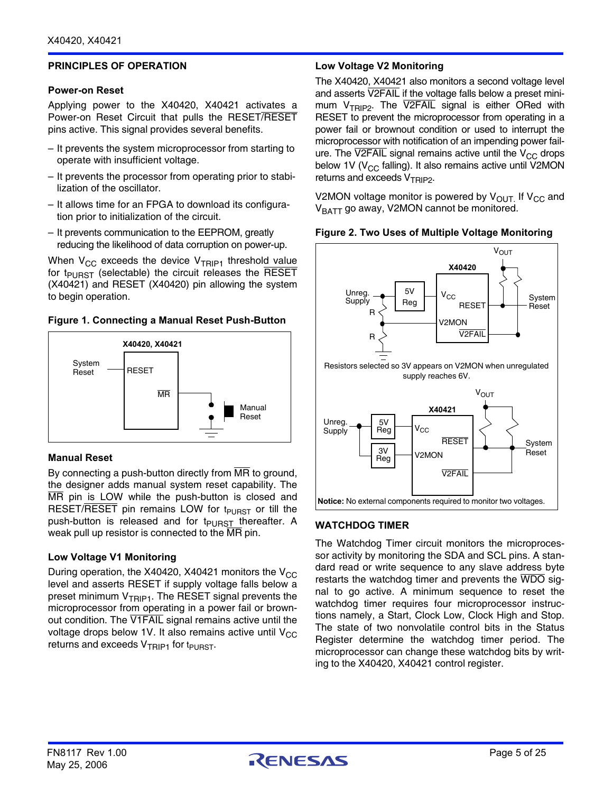## **PRINCIPLES OF OPERATION**

#### **Power-on Reset**

Applying power to the X40420, X40421 activates a Power-on Reset Circuit that pulls the RESET/RESET pins active. This signal provides several benefits.

- It prevents the system microprocessor from starting to operate with insufficient voltage.
- It prevents the processor from operating prior to stabilization of the oscillator.
- It allows time for an FPGA to download its configuration prior to initialization of the circuit.
- It prevents communication to the EEPROM, greatly reducing the likelihood of data corruption on power-up.

When  $V_{CC}$  exceeds the device  $V_{TRIP1}$  threshold value for  $t_{\text{PURST}}$  (selectable) the circuit releases the RESET (X40421) and RESET (X40420) pin allowing the system to begin operation.

#### **Figure 1. Connecting a Manual Reset Push-Button**



#### **Manual Reset**

By connecting a push-button directly from  $\overline{MR}$  to ground, the designer adds manual system reset capability. The MR pin is LOW while the push-button is closed and RESET/RESET pin remains LOW for  $t_{\text{PIRST}}$  or till the push-button is released and for t<sub>PURST</sub> thereafter. A weak pull up resistor is connected to the MR pin.

#### **Low Voltage V1 Monitoring**

During operation, the X40420, X40421 monitors the  $V_{CC}$ level and asserts RESET if supply voltage falls below a preset minimum  $V_{TRIP1}$ . The RESET signal prevents the microprocessor from operating in a power fail or brownout condition. The V1FAIL signal remains active until the voltage drops below 1V. It also remains active until  $V_{CC}$ returns and exceeds  $V_{TRIP1}$  for t<sub>PURST</sub>.

## **Low Voltage V2 Monitoring**

The X40420, X40421 also monitors a second voltage level and asserts V2FAIL if the voltage falls below a preset minimum  $V_{TRIP2}$ . The V2FAIL signal is either ORed with RESET to prevent the microprocessor from operating in a power fail or brownout condition or used to interrupt the microprocessor with notification of an impending power failure. The V2FAIL signal remains active until the  $V_{CC}$  drops below 1V ( $V_{CC}$  falling). It also remains active until V2MON returns and exceeds V<sub>TRIP2</sub>.

V2MON voltage monitor is powered by  $V_{\text{OUT}}$  If  $V_{\text{CC}}$  and V<sub>BATT</sub> go away, V2MON cannot be monitored.



#### **Figure 2. Two Uses of Multiple Voltage Monitoring**

# **WATCHDOG TIMER**

The Watchdog Timer circuit monitors the microprocessor activity by monitoring the SDA and SCL pins. A standard read or write sequence to any slave address byte restarts the watchdog timer and prevents the WDO signal to go active. A minimum sequence to reset the watchdog timer requires four microprocessor instructions namely, a Start, Clock Low, Clock High and Stop. The state of two nonvolatile control bits in the Status Register determine the watchdog timer period. The microprocessor can change these watchdog bits by writing to the X40420, X40421 control register.

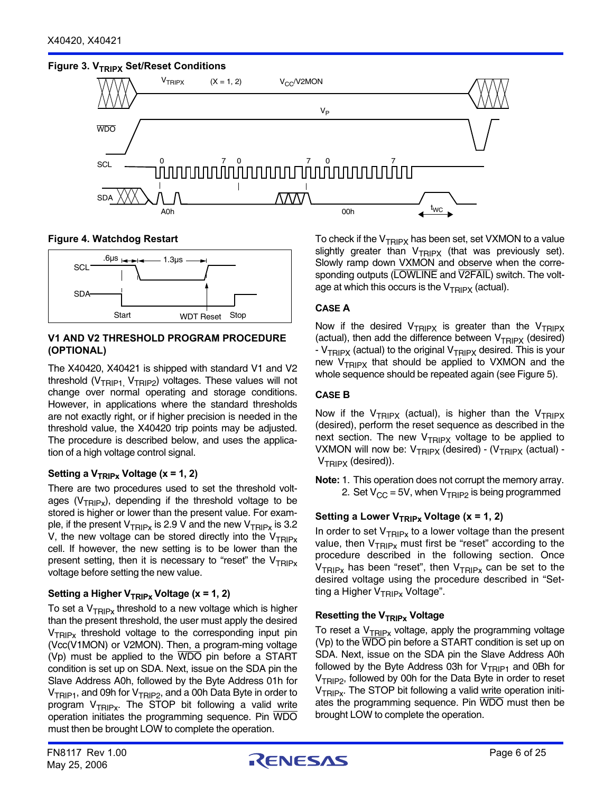## **Figure 3. V<sub>TRIPX</sub> Set/Reset Conditions**



**Figure 4. Watchdog Restart**



#### **V1 AND V2 THRESHOLD PROGRAM PROCEDURE (OPTIONAL)**

The X40420, X40421 is shipped with standard V1 and V2 threshold ( $V_{TRIP1}$ ,  $V_{TRIP2}$ ) voltages. These values will not change over normal operating and storage conditions. However, in applications where the standard thresholds are not exactly right, or if higher precision is needed in the threshold value, the X40420 trip points may be adjusted. The procedure is described below, and uses the application of a high voltage control signal.

# Setting a V<sub>TRIPx</sub> Voltage (x = 1, 2)

There are two procedures used to set the threshold voltages ( $V_{TRIPx}$ ), depending if the threshold voltage to be stored is higher or lower than the present value. For example, if the present  $V_{TRIPx}$  is 2.9 V and the new  $V_{TRIPx}$  is 3.2 V, the new voltage can be stored directly into the  $V_{TRIPy}$ cell. If however, the new setting is to be lower than the present setting, then it is necessary to "reset" the  $V_{TRIPy}$ voltage before setting the new value.

# Setting a Higher V<sub>TRIPx</sub> Voltage (x = 1, 2)

To set a  $V_{TRIPx}$  threshold to a new voltage which is higher than the present threshold, the user must apply the desired  $V_{TRIPx}$  threshold voltage to the corresponding input pin (Vcc(V1MON) or V2MON). Then, a program-ming voltage (Vp) must be applied to the WDO pin before a START condition is set up on SDA. Next, issue on the SDA pin the Slave Address A0h, followed by the Byte Address 01h for V<sub>TRIP1</sub>, and 09h for V<sub>TRIP2</sub>, and a 00h Data Byte in order to program  $V_{TRIPx}$ . The STOP bit following a valid write operation initiates the programming sequence. Pin WDO must then be brought LOW to complete the operation.

To check if the  $V_{TRIPX}$  has been set, set VXMON to a value slightly greater than  $V_{TRIPX}$  (that was previously set). Slowly ramp down VXMON and observe when the corresponding outputs (LOWLINE and V2FAIL) switch. The voltage at which this occurs is the  $V_{TRIPX}$  (actual).

## **CASE A**

Now if the desired  $V_{TRIPX}$  is greater than the  $V_{TRIPX}$ (actual), then add the difference between  $V_{TRIPX}$  (desired) -  $V_{TRIPX}$  (actual) to the original  $V_{TRIPX}$  desired. This is your new  $V_{TRIPX}$  that should be applied to VXMON and the whole sequence should be repeated again (see Figure 5).

#### **CASE B**

Now if the  $V_{TRIPX}$  (actual), is higher than the  $V_{TRIPX}$ (desired), perform the reset sequence as described in the next section. The new  $V_{TRIPX}$  voltage to be applied to VXMON will now be:  $V_{TRIPX}$  (desired) - ( $V_{TRIPX}$  (actual) - $V_{TRIPX}$  (desired)).

**Note:** 1. This operation does not corrupt the memory array. 2. Set  $V_{CC}$  = 5V, when  $V_{TRIP2}$  is being programmed

# Setting a Lower V<sub>TRIPx</sub> Voltage (x = 1, 2)

In order to set  $V_{TRIPx}$  to a lower voltage than the present value, then  $V_{TRIPx}$  must first be "reset" according to the procedure described in the following section. Once  $V_{TRIPx}$  has been "reset", then  $V_{TRIPx}$  can be set to the desired voltage using the procedure described in "Setting a Higher  $V_{TRIPx}$  Voltage".

#### **Resetting the V<sub>TRIPx</sub> Voltage**

To reset a  $V_{TRIPx}$  voltage, apply the programming voltage (Vp) to the WDO pin before a START condition is set up on SDA. Next, issue on the SDA pin the Slave Address A0h followed by the Byte Address 03h for  $V_{TRIP1}$  and 0Bh for  $V<sub>TRIP2</sub>$ , followed by 00h for the Data Byte in order to reset  $V_{TRIPx}$ . The STOP bit following a valid write operation initiates the programming sequence. Pin WDO must then be brought LOW to complete the operation.

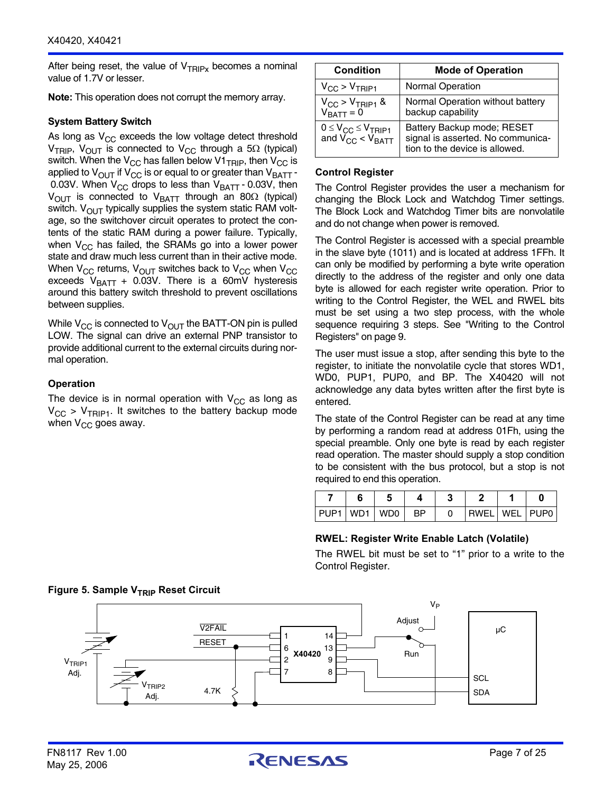After being reset, the value of  $V_{TRIPx}$  becomes a nominal value of 1.7V or lesser.

**Note:** This operation does not corrupt the memory array.

#### **System Battery Switch**

As long as  $V_{CC}$  exceeds the low voltage detect threshold  $V_{TRIP}$ ,  $V_{OUT}$  is connected to  $V_{CC}$  through a 5 $\Omega$  (typical) switch. When the  $V_{CC}$  has fallen below V1 $_{TRIP}$ , then  $V_{CC}$  is applied to  $V_{\text{OUT}}$  if  $V_{\text{CC}}$  is or equal to or greater than  $V_{\text{BATT}}$  -0.03V. When  $V_{CC}$  drops to less than  $V_{BATT}$  - 0.03V, then  $V_{\text{OUT}}$  is connected to  $V_{\text{BAT}}$  through an 80 $\Omega$  (typical) switch.  $V_{\text{OUT}}$  typically supplies the system static RAM voltage, so the switchover circuit operates to protect the contents of the static RAM during a power failure. Typically, when  $V_{CC}$  has failed, the SRAMs go into a lower power state and draw much less current than in their active mode. When  $V_{CC}$  returns,  $V_{OUT}$  switches back to  $V_{CC}$  when  $V_{CC}$ exceeds  $V_{BAT}$  + 0.03V. There is a 60mV hysteresis around this battery switch threshold to prevent oscillations between supplies.

While  $V_{CC}$  is connected to  $V_{OUT}$  the BATT-ON pin is pulled LOW. The signal can drive an external PNP transistor to provide additional current to the external circuits during normal operation.

## **Operation**

The device is in normal operation with  $V_{CC}$  as long as  $V_{CC}$  >  $V_{TRIP1}$ . It switches to the battery backup mode when  $V_{CC}$  goes away.

| <b>Condition</b>                                            | <b>Mode of Operation</b>                                                                          |  |  |  |  |  |
|-------------------------------------------------------------|---------------------------------------------------------------------------------------------------|--|--|--|--|--|
| $V_{CC}$ > $V_{TRIP1}$                                      | <b>Normal Operation</b>                                                                           |  |  |  |  |  |
| $V_{CC}$ > $V_{TRIP1}$ &<br>$V_{BATT} = 0$                  | Normal Operation without battery<br>backup capability                                             |  |  |  |  |  |
| $0 \leq V_{CC} \leq V_{TRIP1}$<br>and $V_{CC}$ < $V_{BATT}$ | Battery Backup mode; RESET<br>signal is asserted. No communica-<br>tion to the device is allowed. |  |  |  |  |  |

#### **Control Register**

The Control Register provides the user a mechanism for changing the Block Lock and Watchdog Timer settings. The Block Lock and Watchdog Timer bits are nonvolatile and do not change when power is removed.

The Control Register is accessed with a special preamble in the slave byte (1011) and is located at address 1FFh. It can only be modified by performing a byte write operation directly to the address of the register and only one data byte is allowed for each register write operation. Prior to writing to the Control Register, the WEL and RWEL bits must be set using a two step process, with the whole sequence requiring 3 steps. [See "Writing to the Control](#page-8-0) [Registers"](#page-8-0) on page 9.

The user must issue a stop, after sending this byte to the register, to initiate the nonvolatile cycle that stores WD1, WD0, PUP1, PUP0, and BP. The X40420 will not acknowledge any data bytes written after the first byte is entered.

The state of the Control Register can be read at any time by performing a random read at address 01Fh, using the special preamble. Only one byte is read by each register read operation. The master should supply a stop condition to be consistent with the bus protocol, but a stop is not required to end this operation.

| PUP1 WD1 WD0 BP |  |  | RWELLWELLPUPO |  |
|-----------------|--|--|---------------|--|

#### **RWEL: Register Write Enable Latch (Volatile)**

The RWEL bit must be set to "1" prior to a write to the Control Register.



# **Figure 5. Sample V<sub>TRIP</sub> Reset Circuit**

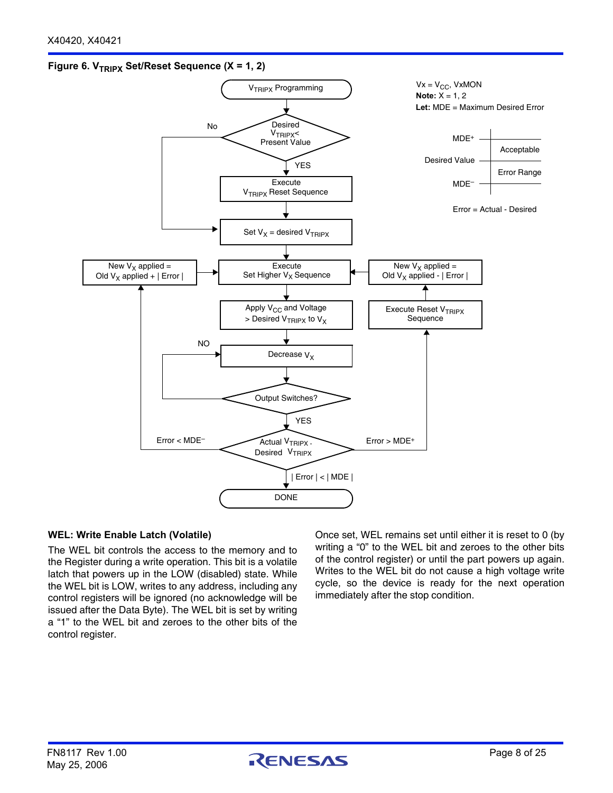## Figure 6. V<sub>TRIPX</sub> Set/Reset Sequence (X = 1, 2)



#### **WEL: Write Enable Latch (Volatile)**

The WEL bit controls the access to the memory and to the Register during a write operation. This bit is a volatile latch that powers up in the LOW (disabled) state. While the WEL bit is LOW, writes to any address, including any control registers will be ignored (no acknowledge will be issued after the Data Byte). The WEL bit is set by writing a "1" to the WEL bit and zeroes to the other bits of the control register.

Once set, WEL remains set until either it is reset to 0 (by writing a "0" to the WEL bit and zeroes to the other bits of the control register) or until the part powers up again. Writes to the WEL bit do not cause a high voltage write cycle, so the device is ready for the next operation immediately after the stop condition.

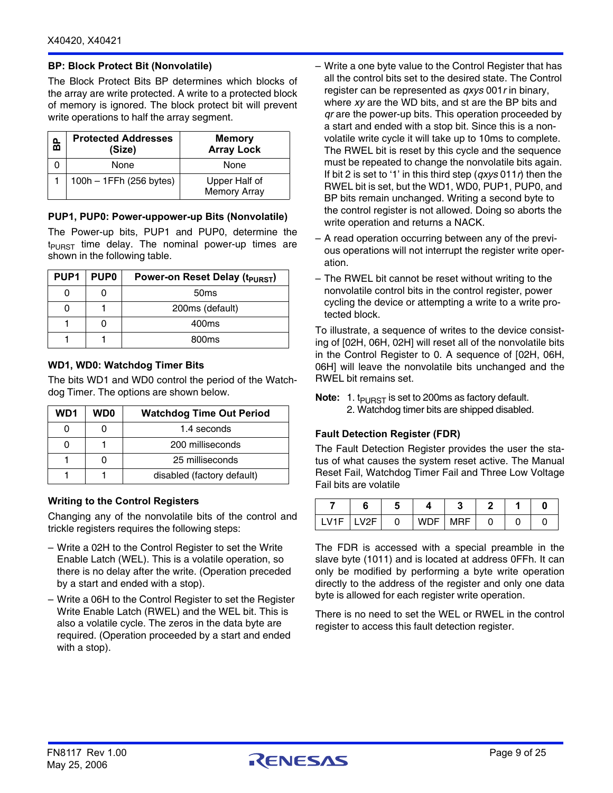## **BP: Block Protect Bit (Nonvolatile)**

The Block Protect Bits BP determines which blocks of the array are write protected. A write to a protected block of memory is ignored. The block protect bit will prevent write operations to half the array segment.

| ൨<br>ត | <b>Protected Addresses</b><br>(Size) | <b>Memory</b><br><b>Array Lock</b>   |
|--------|--------------------------------------|--------------------------------------|
|        | None                                 | None                                 |
|        | 100h - 1FFh (256 bytes)              | Upper Half of<br><b>Memory Array</b> |

#### **PUP1, PUP0: Power-uppower-up Bits (Nonvolatile)**

The Power-up bits, PUP1 and PUP0, determine the  $t_{\text{PURST}}$  time delay. The nominal power-up times are shown in the following table.

| PUP1 | <b>PUP0</b> | Power-on Reset Delay (t <sub>PURST</sub> ) |
|------|-------------|--------------------------------------------|
|      |             | 50 <sub>ms</sub>                           |
|      |             | 200ms (default)                            |
|      |             | 400ms                                      |
|      |             | 800 <sub>ms</sub>                          |

#### **WD1, WD0: Watchdog Timer Bits**

The bits WD1 and WD0 control the period of the Watchdog Timer. The options are shown below.

| WD1 | WD0 | <b>Watchdog Time Out Period</b> |
|-----|-----|---------------------------------|
|     |     | 1.4 seconds                     |
|     |     | 200 milliseconds                |
|     |     | 25 milliseconds                 |
|     |     | disabled (factory default)      |

#### <span id="page-8-0"></span>**Writing to the Control Registers**

Changing any of the nonvolatile bits of the control and trickle registers requires the following steps:

- Write a 02H to the Control Register to set the Write Enable Latch (WEL). This is a volatile operation, so there is no delay after the write. (Operation preceded by a start and ended with a stop).
- Write a 06H to the Control Register to set the Register Write Enable Latch (RWEL) and the WEL bit. This is also a volatile cycle. The zeros in the data byte are required. (Operation proceeded by a start and ended with a stop).
- Write a one byte value to the Control Register that has all the control bits set to the desired state. The Control register can be represented as *qxys* 001*r* in binary, where *xy* are the WD bits, and st are the BP bits and *qr* are the power-up bits. This operation proceeded by a start and ended with a stop bit. Since this is a nonvolatile write cycle it will take up to 10ms to complete. The RWEL bit is reset by this cycle and the sequence must be repeated to change the nonvolatile bits again. If bit 2 is set to '1' in this third step (*qxys* 011*r*) then the RWEL bit is set, but the WD1, WD0, PUP1, PUP0, and BP bits remain unchanged. Writing a second byte to the control register is not allowed. Doing so aborts the write operation and returns a NACK.
- A read operation occurring between any of the previous operations will not interrupt the register write operation.
- The RWEL bit cannot be reset without writing to the nonvolatile control bits in the control register, power cycling the device or attempting a write to a write protected block.

To illustrate, a sequence of writes to the device consisting of [02H, 06H, 02H] will reset all of the nonvolatile bits in the Control Register to 0. A sequence of [02H, 06H, 06H] will leave the nonvolatile bits unchanged and the RWEL bit remains set.

**Note:** 1.  $t_{\text{PURST}}$  is set to 200ms as factory default. 2. Watchdog timer bits are shipped disabled.

#### **Fault Detection Register (FDR)**

The Fault Detection Register provides the user the status of what causes the system reset active. The Manual Reset Fail, Watchdog Timer Fail and Three Low Voltage Fail bits are volatile

|               |  | - 1       |  |  |
|---------------|--|-----------|--|--|
| $IV1F$ $IV2F$ |  | WDF   MRF |  |  |

The FDR is accessed with a special preamble in the slave byte (1011) and is located at address 0FFh. It can only be modified by performing a byte write operation directly to the address of the register and only one data byte is allowed for each register write operation.

There is no need to set the WEL or RWEL in the control register to access this fault detection register.

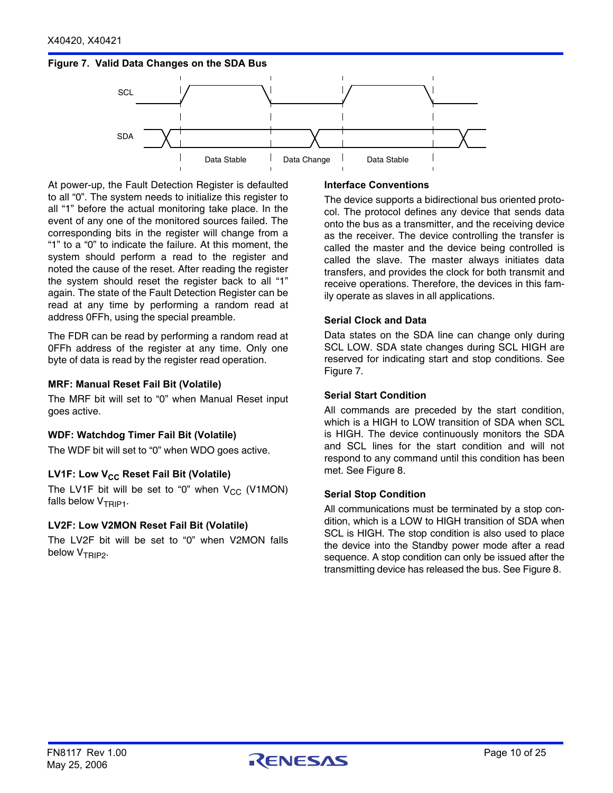## <span id="page-9-0"></span>**Figure 7. Valid Data Changes on the SDA Bus**



At power-up, the Fault Detection Register is defaulted to all "0". The system needs to initialize this register to all "1" before the actual monitoring take place. In the event of any one of the monitored sources failed. The corresponding bits in the register will change from a "1" to a "0" to indicate the failure. At this moment, the system should perform a read to the register and noted the cause of the reset. After reading the register the system should reset the register back to all "1" again. The state of the Fault Detection Register can be read at any time by performing a random read at address 0FFh, using the special preamble.

The FDR can be read by performing a random read at 0FFh address of the register at any time. Only one byte of data is read by the register read operation.

#### **MRF: Manual Reset Fail Bit (Volatile)**

The MRF bit will set to "0" when Manual Reset input goes active.

#### **WDF: Watchdog Timer Fail Bit (Volatile)**

The WDF bit will set to "0" when WDO goes active.

#### LV1F: Low V<sub>CC</sub> Reset Fail Bit (Volatile)

The LV1F bit will be set to "0" when  $V_{CC}$  (V1MON) falls below  $V_{TRIP1}$ .

#### **LV2F: Low V2MON Reset Fail Bit (Volatile)**

The LV2F bit will be set to "0" when V2MON falls below V<sub>TRIP2</sub>.

#### **Interface Conventions**

The device supports a bidirectional bus oriented protocol. The protocol defines any device that sends data onto the bus as a transmitter, and the receiving device as the receiver. The device controlling the transfer is called the master and the device being controlled is called the slave. The master always initiates data transfers, and provides the clock for both transmit and receive operations. Therefore, the devices in this family operate as slaves in all applications.

#### **Serial Clock and Data**

Data states on the SDA line can change only during SCL LOW. SDA state changes during SCL HIGH are reserved for indicating start and stop conditions. [See](#page-9-0) [Figure 7](#page-9-0).

#### **Serial Start Condition**

All commands are preceded by the start condition, which is a HIGH to LOW transition of SDA when SCL is HIGH. The device continuously monitors the SDA and SCL lines for the start condition and will not respond to any command until this condition has been met. [See Figure 8.](#page-10-0)

#### **Serial Stop Condition**

All communications must be terminated by a stop condition, which is a LOW to HIGH transition of SDA when SCL is HIGH. The stop condition is also used to place the device into the Standby power mode after a read sequence. A stop condition can only be issued after the transmitting device has released the bus. [See Figure 8](#page-10-0).

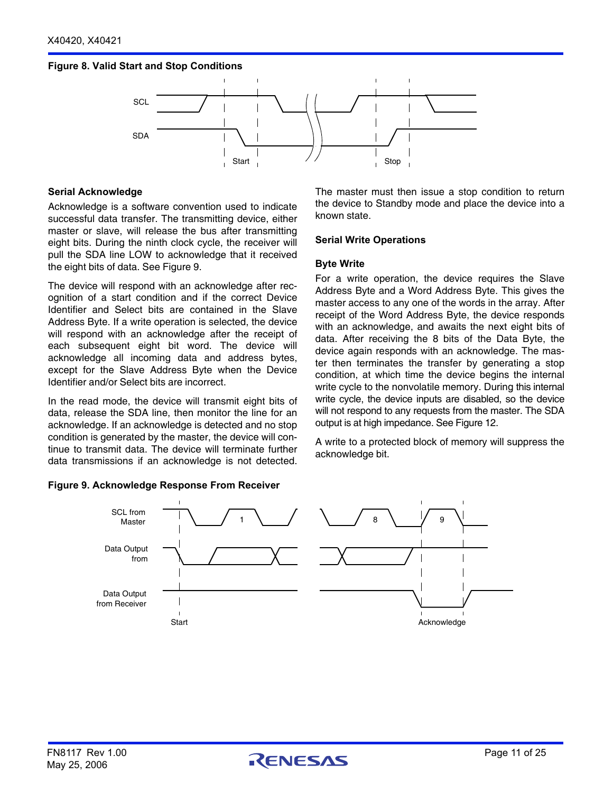#### <span id="page-10-0"></span>**Figure 8. Valid Start and Stop Conditions**



#### **Serial Acknowledge**

Acknowledge is a software convention used to indicate successful data transfer. The transmitting device, either master or slave, will release the bus after transmitting eight bits. During the ninth clock cycle, the receiver will pull the SDA line LOW to acknowledge that it received the eight bits of data. See Figure 9.

The device will respond with an acknowledge after recognition of a start condition and if the correct Device Identifier and Select bits are contained in the Slave Address Byte. If a write operation is selected, the device will respond with an acknowledge after the receipt of each subsequent eight bit word. The device will acknowledge all incoming data and address bytes, except for the Slave Address Byte when the Device Identifier and/or Select bits are incorrect.

In the read mode, the device will transmit eight bits of data, release the SDA line, then monitor the line for an acknowledge. If an acknowledge is detected and no stop condition is generated by the master, the device will continue to transmit data. The device will terminate further data transmissions if an acknowledge is not detected.

#### **Figure 9. Acknowledge Response From Receiver**

The master must then issue a stop condition to return the device to Standby mode and place the device into a known state.

#### **Serial Write Operations**

#### **Byte Write**

For a write operation, the device requires the Slave Address Byte and a Word Address Byte. This gives the master access to any one of the words in the array. After receipt of the Word Address Byte, the device responds with an acknowledge, and awaits the next eight bits of data. After receiving the 8 bits of the Data Byte, the device again responds with an acknowledge. The master then terminates the transfer by generating a stop condition, at which time the device begins the internal write cycle to the nonvolatile memory. During this internal write cycle, the device inputs are disabled, so the device will not respond to any requests from the master. The SDA output is at high impedance. [See Figure 12](#page-11-0).

A write to a protected block of memory will suppress the acknowledge bit.

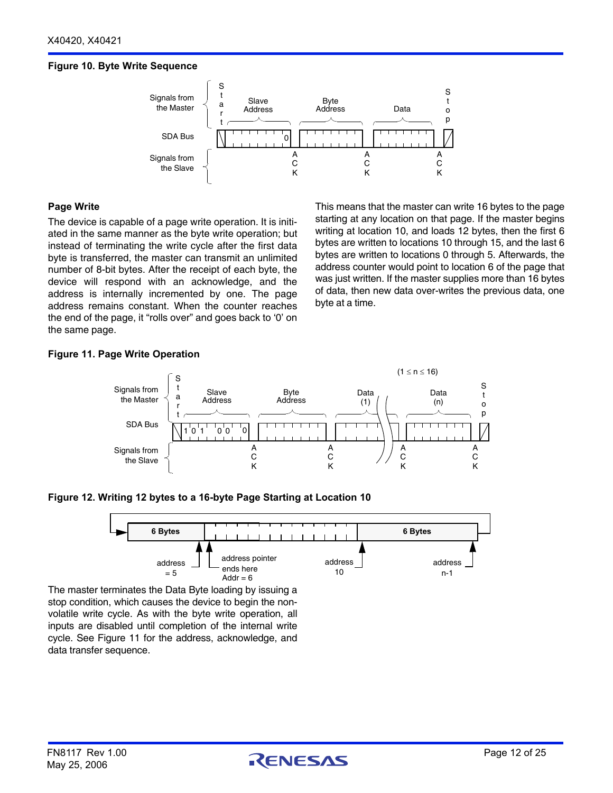## **Figure 10. Byte Write Sequence**



#### **Page Write**

The device is capable of a page write operation. It is initiated in the same manner as the byte write operation; but instead of terminating the write cycle after the first data byte is transferred, the master can transmit an unlimited number of 8-bit bytes. After the receipt of each byte, the device will respond with an acknowledge, and the address is internally incremented by one. The page address remains constant. When the counter reaches the end of the page, it "rolls over" and goes back to '0' on the same page.

This means that the master can write 16 bytes to the page starting at any location on that page. If the master begins writing at location 10, and loads 12 bytes, then the first 6 bytes are written to locations 10 through 15, and the last 6 bytes are written to locations 0 through 5. Afterwards, the address counter would point to location 6 of the page that was just written. If the master supplies more than 16 bytes of data, then new data over-writes the previous data, one byte at a time.

## **Figure 11. Page Write Operation**



#### <span id="page-11-0"></span>**Figure 12. Writing 12 bytes to a 16-byte Page Starting at Location 10**



The master terminates the Data Byte loading by issuing a stop condition, which causes the device to begin the nonvolatile write cycle. As with the byte write operation, all inputs are disabled until completion of the internal write cycle. See Figure 11 for the address, acknowledge, and data transfer sequence.

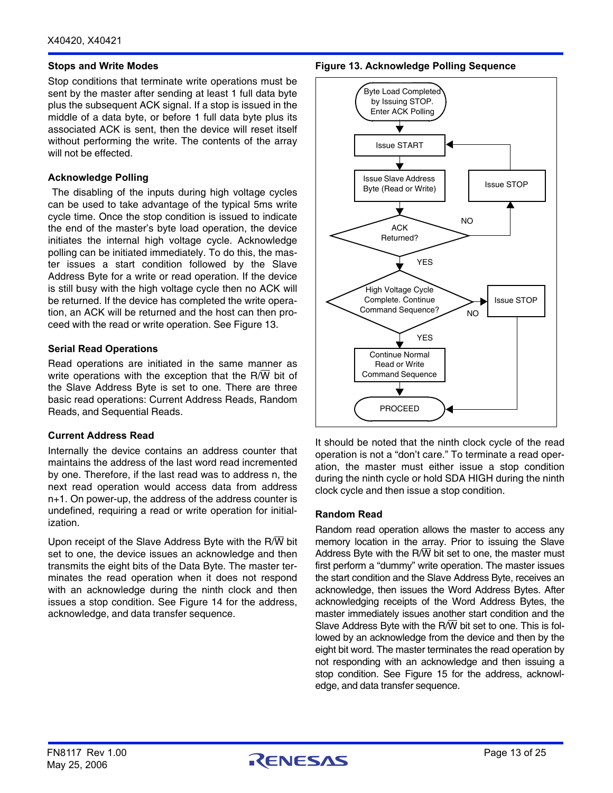#### **Stops and Write Modes**

Stop conditions that terminate write operations must be sent by the master after sending at least 1 full data byte plus the subsequent ACK signal. If a stop is issued in the middle of a data byte, or before 1 full data byte plus its associated ACK is sent, then the device will reset itself without performing the write. The contents of the array will not be effected.

#### **Acknowledge Polling**

 The disabling of the inputs during high voltage cycles can be used to take advantage of the typical 5ms write cycle time. Once the stop condition is issued to indicate the end of the master's byte load operation, the device initiates the internal high voltage cycle. Acknowledge polling can be initiated immediately. To do this, the master issues a start condition followed by the Slave Address Byte for a write or read operation. If the device is still busy with the high voltage cycle then no ACK will be returned. If the device has completed the write operation, an ACK will be returned and the host can then proceed with the read or write operation. See Figure 13.

#### **Serial Read Operations**

Read operations are initiated in the same manner as write operations with the exception that the  $R/\overline{W}$  bit of the Slave Address Byte is set to one. There are three basic read operations: Current Address Reads, Random Reads, and Sequential Reads.

#### **Current Address Read**

Internally the device contains an address counter that maintains the address of the last word read incremented by one. Therefore, if the last read was to address n, the next read operation would access data from address n+1. On power-up, the address of the address counter is undefined, requiring a read or write operation for initialization.

Upon receipt of the Slave Address Byte with the R/W bit set to one, the device issues an acknowledge and then transmits the eight bits of the Data Byte. The master terminates the read operation when it does not respond with an acknowledge during the ninth clock and then issues a stop condition. See Figure 14 for the address, acknowledge, and data transfer sequence.

**Figure 13. Acknowledge Polling Sequence**



It should be noted that the ninth clock cycle of the read operation is not a "don't care." To terminate a read operation, the master must either issue a stop condition during the ninth cycle or hold SDA HIGH during the ninth clock cycle and then issue a stop condition.

#### **Random Read**

Random read operation allows the master to access any memory location in the array. Prior to issuing the Slave Address Byte with the R $\overline{W}$  bit set to one, the master must first perform a "dummy" write operation. The master issues the start condition and the Slave Address Byte, receives an acknowledge, then issues the Word Address Bytes. After acknowledging receipts of the Word Address Bytes, the master immediately issues another start condition and the Slave Address Byte with the  $R/\overline{W}$  bit set to one. This is followed by an acknowledge from the device and then by the eight bit word. The master terminates the read operation by not responding with an acknowledge and then issuing a stop condition. See Figure 15 for the address, acknowledge, and data transfer sequence.

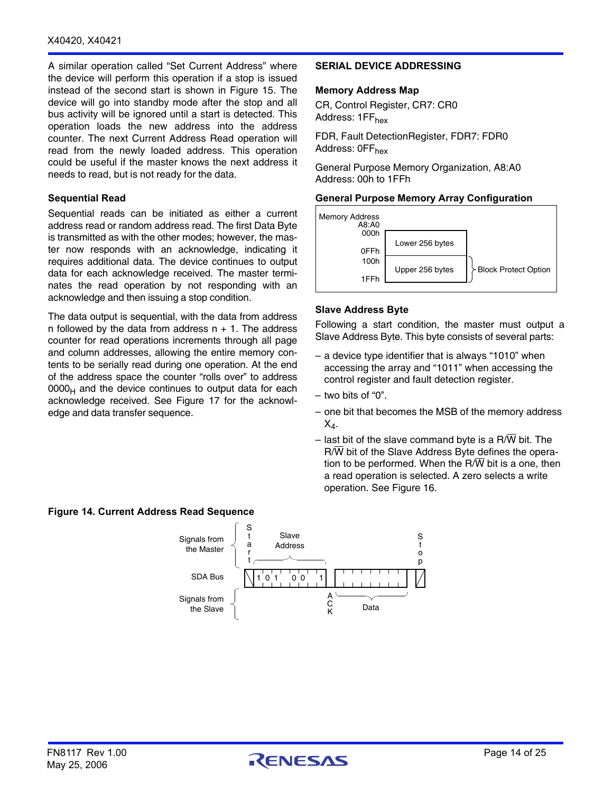#### X40420, X40421

A similar operation called "Set Current Address" where the device will perform this operation if a stop is issued instead of the second start is shown in [Figure 15](#page-14-0). The device will go into standby mode after the stop and all bus activity will be ignored until a start is detected. This operation loads the new address into the address counter. The next Current Address Read operation will read from the newly loaded address. This operation could be useful if the master knows the next address it needs to read, but is not ready for the data.

#### **Sequential Read**

Sequential reads can be initiated as either a current address read or random address read. The first Data Byte is transmitted as with the other modes; however, the master now responds with an acknowledge, indicating it requires additional data. The device continues to output data for each acknowledge received. The master terminates the read operation by not responding with an acknowledge and then issuing a stop condition.

The data output is sequential, with the data from address n followed by the data from address  $n + 1$ . The address counter for read operations increments through all page and column addresses, allowing the entire memory contents to be serially read during one operation. At the end of the address space the counter "rolls over" to address  $0000<sub>H</sub>$  and the device continues to output data for each acknowledge received. See Figure 17 for the acknowledge and data transfer sequence.

#### **Figure 14. Current Address Read Sequence**



#### **SERIAL DEVICE ADDRESSING**

#### **Memory Address Map**

CR, Control Register, CR7: CR0 Address: 1FF<sub>hex</sub>

FDR, Fault DetectionRegister, FDR7: FDR0 Address: 0FF<sub>hex</sub>

General Purpose Memory Organization, A8:A0 Address: 00h to 1FFh

#### **General Purpose Memory Array Configuration**



#### **Slave Address Byte**

Following a start condition, the master must output a Slave Address Byte. This byte consists of several parts:

- a device type identifier that is always "1010" when accessing the array and "1011" when accessing the control register and fault detection register.
- two bits of "0".
- one bit that becomes the MSB of the memory address  $X_4$ .
- last bit of the slave command byte is a R/W bit. The  $R/\overline{W}$  bit of the Slave Address Byte defines the operation to be performed. When the R/ $\overline{W}$  bit is a one, then a read operation is selected. A zero selects a write operation. See Figure 16.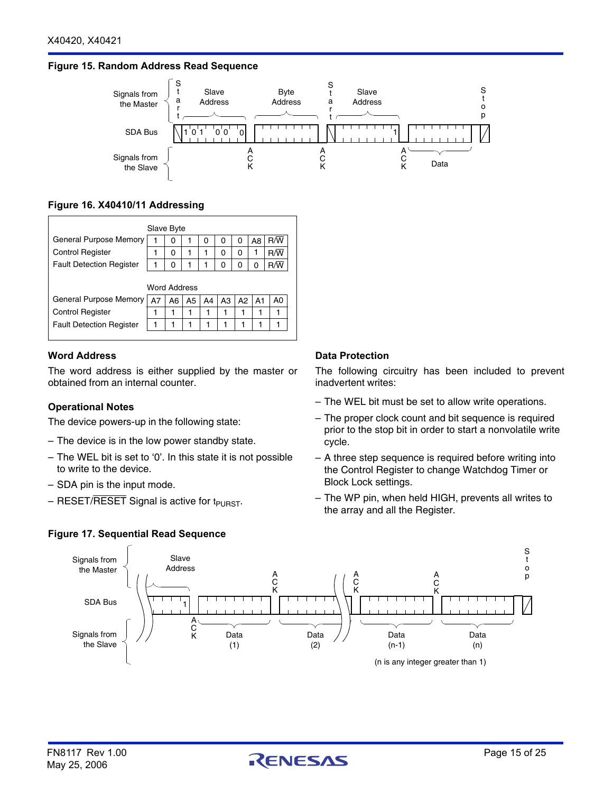#### <span id="page-14-0"></span>**Figure 15. Random Address Read Sequence**



## **Figure 16. X40410/11 Addressing**

| Slave Byte                      |    |    |    |    |    |    |    |                |  |  |
|---------------------------------|----|----|----|----|----|----|----|----------------|--|--|
| <b>General Purpose Memory</b>   | 1  | 0  |    | 0  | O  | 0  | A8 | R/W            |  |  |
| <b>Control Register</b>         | 1  | 0  | 1  |    | 0  | 0  |    | R/W            |  |  |
| <b>Fault Detection Register</b> |    | O  |    |    | O  | O  | U  |                |  |  |
| <b>Word Address</b>             |    |    |    |    |    |    |    |                |  |  |
| General Purpose Memory          | A7 | A6 | A5 | A4 | A3 | A2 | A1 | A <sub>0</sub> |  |  |
| <b>Control Register</b>         | 1  | 1  |    | 1  |    |    |    |                |  |  |
| <b>Fault Detection Register</b> |    |    |    | 1  |    |    |    |                |  |  |
|                                 |    |    |    |    |    |    |    |                |  |  |

#### **Word Address**

The word address is either supplied by the master or obtained from an internal counter.

#### **Operational Notes**

The device powers-up in the following state:

- The device is in the low power standby state.
- The WEL bit is set to '0'. In this state it is not possible to write to the device.
- SDA pin is the input mode.
- $-$  RESET/RESET Signal is active for t<sub>PURST</sub>.

#### **Figure 17. Sequential Read Sequence**

#### **Data Protection**

The following circuitry has been included to prevent inadvertent writes:

- The WEL bit must be set to allow write operations.
- The proper clock count and bit sequence is required prior to the stop bit in order to start a nonvolatile write cycle.
- A three step sequence is required before writing into the Control Register to change Watchdog Timer or Block Lock settings.
- The WP pin, when held HIGH, prevents all writes to the array and all the Register.

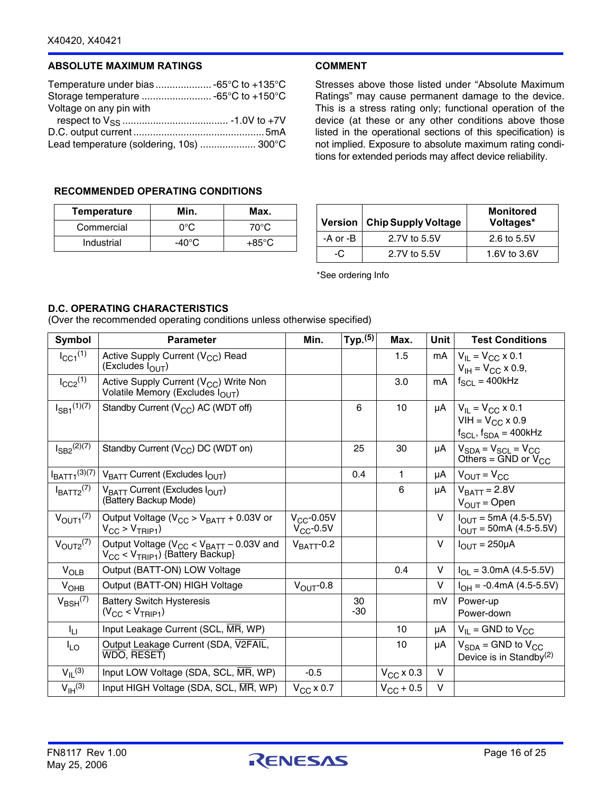#### **ABSOLUTE MAXIMUM RATINGS**

| Temperature under bias  -65°C to +135°C  |  |
|------------------------------------------|--|
|                                          |  |
| Voltage on any pin with                  |  |
|                                          |  |
|                                          |  |
| Lead temperature (soldering, 10s)  300°C |  |

#### **COMMENT**

Stresses above those listed under "Absolute Maximum Ratings" may cause permanent damage to the device. This is a stress rating only; functional operation of the device (at these or any other conditions above those listed in the operational sections of this specification) is not implied. Exposure to absolute maximum rating conditions for extended periods may affect device reliability.

## **RECOMMENDED OPERATING CONDITIONS**

| <b>Temperature</b> | Min.  | Max.            |
|--------------------|-------|-----------------|
| Commercial         | ∩∘റ   | 70°C.           |
| Industrial         | -40°C | $+85^{\circ}$ C |

|          | Version   Chip Supply Voltage | <b>Monitored</b><br>Voltages* |
|----------|-------------------------------|-------------------------------|
| -A or -B | 2.7V to 5.5V                  | 2.6 to 5.5V                   |
| -0       | 2.7V to 5.5V                  | 1.6V to 3.6V                  |

\*See ordering Info

## **D.C. OPERATING CHARACTERISTICS**

(Over the recommended operating conditions unless otherwise specified)

| <b>Symbol</b>               | <b>Parameter</b>                                                                                   | Min.                              | Typ. <sup>(5)</sup> | Max.               | <b>Unit</b> | <b>Test Conditions</b>                                                                                  |
|-----------------------------|----------------------------------------------------------------------------------------------------|-----------------------------------|---------------------|--------------------|-------------|---------------------------------------------------------------------------------------------------------|
| $I_{\text{CC1}}^{(1)}$      | Active Supply Current (V <sub>CC</sub> ) Read<br>(Excludes I <sub>OUT</sub> )                      |                                   |                     | 1.5                | mA          | $V_{\text{II}} = V_{\text{CC}} \times 0.1$<br>$V_{\text{IH}} = V_{\text{CC}} \times 0.9$ ,              |
| $I_{CC2}$ <sup>(1)</sup>    | Active Supply Current (V <sub>CC</sub> ) Write Non<br>Volatile Memory (Excludes I <sub>OUT</sub> ) |                                   |                     | 3.0                | mA          | $f_{SCL} = 400kHz$                                                                                      |
| $I_{SB1}^{(1)(7)}$          | Standby Current $(V_{CC})$ AC (WDT off)                                                            |                                   | 6                   | 10                 | μA          | $V_{\text{II}} = V_{\text{CC}} \times 0.1$<br>$VIH = VCC \times 0.9$<br>$f_{SCL}$ , $f_{SDA} = 400$ kHz |
| $I_{SB2}^{(2)(7)}$          | Standby Current $(V_{CC})$ DC (WDT on)                                                             |                                   | 25                  | 30                 | μA          | $V_{SDA} = V_{SCL} = V_{CC}$<br>Others = $GND$ or $V_{CC}$                                              |
| $I_{\text{BATT1}}^{(3)(7)}$ | V <sub>BATT</sub> Current (Excludes I <sub>OUT</sub> )                                             |                                   | 0.4                 | 1                  | μA          | $V_{\text{OUT}} = V_{\text{CC}}$                                                                        |
| $I_{BATT2}$ <sup>(7)</sup>  | $V_{\text{BATT}}$ Current (Excludes $I_{\text{OUT}}$ )<br>(Battery Backup Mode)                    |                                   |                     | 6                  | μA          | $V_{\text{BATT}}$ = 2.8V<br>$V_{OUT} = Open$                                                            |
| $V_{\text{OUT1}}^{(7)}$     | Output Voltage ( $V_{CC}$ > $V_{BAT}$ + 0.03V or<br>$V_{CC}$ > $V_{TRIP1}$ )                       | $V_{CC}$ -0.05V<br>$V_{CC}$ -0.5V |                     |                    | V           | $I_{OUT} = 5mA (4.5-5.5V)$<br>$I_{OUT} = 50mA (4.5-5.5V)$                                               |
| $V_{\text{OUT2}}^{(7)}$     | Output Voltage ( $V_{CC}$ < $V_{BATT}$ – 0.03V and<br>$V_{CC}$ < $V_{TRIP1}$ ) {Battery Backup}    | $V_{\text{BATT}}$ -0.2            |                     |                    | $\vee$      | $I_{\text{OUT}} = 250 \mu \text{A}$                                                                     |
| $V_{OLB}$                   | Output (BATT-ON) LOW Voltage                                                                       |                                   |                     | 0.4                | V           | $I_{OL}$ = 3.0mA (4.5-5.5V)                                                                             |
| <b>V<sub>OHB</sub></b>      | Output (BATT-ON) HIGH Voltage                                                                      | $V_{\text{OUT}}$ -0.8             |                     |                    | $\vee$      | $I_{OH} = -0.4 \text{mA}$ (4.5-5.5V)                                                                    |
| $V_{BSH}$ <sup>(7)</sup>    | <b>Battery Switch Hysteresis</b><br>$(V_{CC}$ < $V_{TRIP1})$                                       |                                   | 30<br>$-30$         |                    | mV          | Power-up<br>Power-down                                                                                  |
| Īц                          | Input Leakage Current (SCL, MR, WP)                                                                |                                   |                     | 10                 | μA          | $V_{II}$ = GND to $V_{CC}$                                                                              |
| $I_{LO}$                    | Output Leakage Current (SDA, V2FAIL,<br>WDO, RESET)                                                |                                   |                     | 10                 | μA          | $V_{SDA}$ = GND to $V_{CC}$<br>Device is in Standby <sup>(2)</sup>                                      |
| $V_{IL}$ <sup>(3)</sup>     | Input LOW Voltage (SDA, SCL, MR, WP)                                                               | $-0.5$                            |                     | $V_{CC}$ x 0.3     | $\vee$      |                                                                                                         |
| $V_{\text{IH}}^{(3)}$       | Input HIGH Voltage (SDA, SCL, MR, WP)                                                              | $V_{CC}$ x 0.7                    |                     | $V_{\rm CC}$ + 0.5 | $\vee$      |                                                                                                         |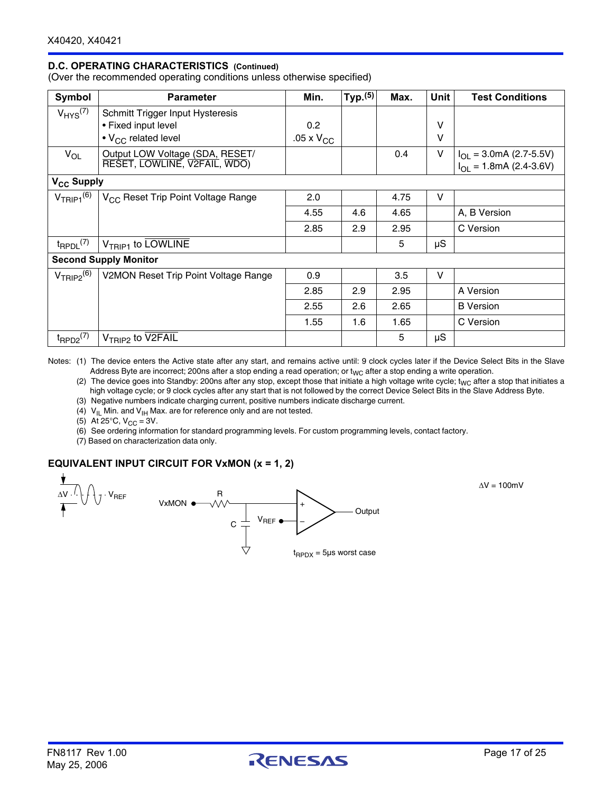# **D.C. OPERATING CHARACTERISTICS (Continued)**

(Over the recommended operating conditions unless otherwise specified)

| Symbol                     | <b>Parameter</b>                               | Min.                | Typ. <sup>(5)</sup> | Max. | Unit   | <b>Test Conditions</b>              |
|----------------------------|------------------------------------------------|---------------------|---------------------|------|--------|-------------------------------------|
| $V_{HYS}$ <sup>(7)</sup>   | Schmitt Trigger Input Hysteresis               |                     |                     |      |        |                                     |
|                            | • Fixed input level                            | 0.2                 |                     |      | $\vee$ |                                     |
|                            | $\cdot$ V <sub>CC</sub> related level          | $.05 \times V_{CC}$ |                     |      | $\vee$ |                                     |
| $V_{OL}$                   | Output LOW Voltage (SDA, RESET/                |                     |                     | 0.4  | V      | $I_{OL}$ = 3.0mA (2.7-5.5V)         |
|                            | RESET, LOWLINE, V2FAIL, WDO)                   |                     |                     |      |        | $I_{OL} = 1.8 \text{mA}$ (2.4-3.6V) |
| V <sub>CC</sub> Supply     |                                                |                     |                     |      |        |                                     |
| $V_{TRIP1}$ <sup>(6)</sup> | V <sub>CC</sub> Reset Trip Point Voltage Range | 2.0                 |                     | 4.75 | V      |                                     |
|                            |                                                | 4.55                | 4.6                 | 4.65 |        | A, B Version                        |
|                            |                                                | 2.85                | 2.9                 | 2.95 |        | C Version                           |
| $t_{\sf RPDL}^{(7)}$       | $V_{TRIP1}$ to LOWLINE                         |                     |                     | 5    | μS     |                                     |
|                            | <b>Second Supply Monitor</b>                   |                     |                     |      |        |                                     |
| $V_{TRIP2}^{(6)}$          | V2MON Reset Trip Point Voltage Range           | 0.9                 |                     | 3.5  | v      |                                     |
|                            |                                                | 2.85                | 2.9                 | 2.95 |        | A Version                           |
|                            |                                                | 2.55                | 2.6                 | 2.65 |        | <b>B</b> Version                    |
|                            |                                                | 1.55                | 1.6                 | 1.65 |        | C Version                           |
| $t_{\text{RPD2}}^{(7)}$    | V <sub>TRIP2</sub> to V2FAIL                   |                     |                     | 5    | μS     |                                     |

Notes: (1) The device enters the Active state after any start, and remains active until: 9 clock cycles later if the Device Select Bits in the Slave Address Byte are incorrect; 200ns after a stop ending a read operation; or  $t_{WC}$  after a stop ending a write operation.

(2) The device goes into Standby: 200ns after any stop, except those that initiate a high voltage write cycle;  $t_{WC}$  after a stop that initiates a high voltage cycle; or 9 clock cycles after any start that is not followed by the correct Device Select Bits in the Slave Address Byte.

(3) Negative numbers indicate charging current, positive numbers indicate discharge current.

(4)  $V_{\vert L}$  Min. and  $V_{\vert H}$  Max. are for reference only and are not tested.

(5) At 25 $\degree$ C, V<sub>CC</sub> = 3V.

(6) See ordering information for standard programming levels. For custom programming levels, contact factory.

(7) Based on characterization data only.

#### **EQUIVALENT INPUT CIRCUIT FOR VxMON (x = 1, 2)**



 $\Delta V = 100$ mV

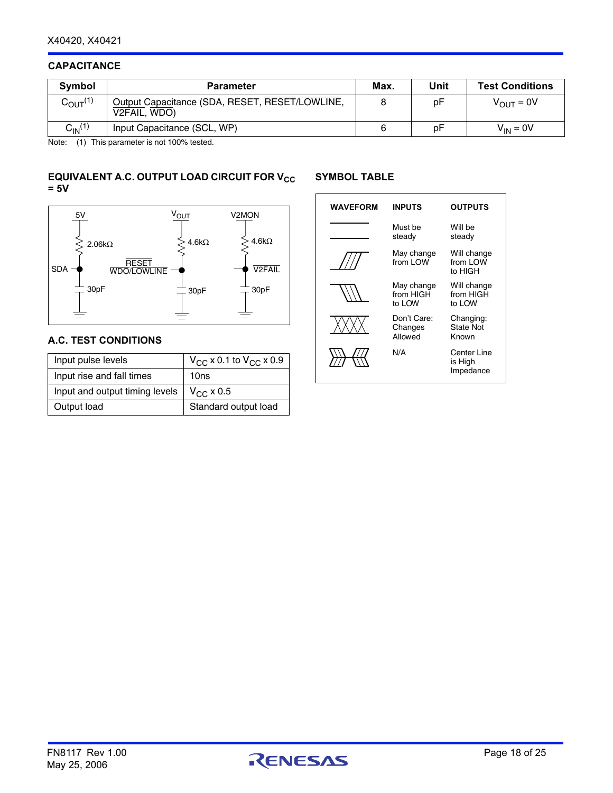## **CAPACITANCE**

| <b>Symbol</b>                  | <b>Parameter</b>                                               | Max. | Unit | <b>Test Conditions</b> |
|--------------------------------|----------------------------------------------------------------|------|------|------------------------|
| $C_{\text{OUT}}^{(1)}$         | Output Capacitance (SDA, RESET, RESET/LOWLINE,<br>V2FAIL, WDO) |      | рF   | $V_{\text{OUT}} = 0V$  |
| C <sub>IN</sub> <sup>(1)</sup> | Input Capacitance (SCL, WP)                                    |      | рF   | $V_{IN} = 0V$          |

Note: (1) This parameter is not 100% tested.

## **EQUIVALENT A.C. OUTPUT LOAD CIRCUIT FOR V<sub>CC</sub> = 5V**

## **SYMBOL TABLE**



## **A.C. TEST CONDITIONS**

| Input pulse levels             | $V_{CC}$ x 0.1 to $V_{CC}$ x 0.9 |
|--------------------------------|----------------------------------|
| Input rise and fall times      | 10ns                             |
| Input and output timing levels | $V_{\rm CC}$ x 0.5               |
| Output load                    | Standard output load             |

| <b>WAVEFORM</b> | <b>INPUTS</b>                     | <b>OUTPUTS</b>                         |
|-----------------|-----------------------------------|----------------------------------------|
|                 | Must be<br>steady                 | Will be<br>steady                      |
|                 | May change<br>from I OW           | Will change<br>from LOW<br>to HIGH     |
|                 | May change<br>from HIGH<br>to LOW | Will change<br>from HIGH<br>to LOW     |
|                 | Don't Care:<br>Changes<br>Allowed | Changing:<br><b>State Not</b><br>Known |
|                 | N/A                               | Center Line<br>is High<br>Impedance    |

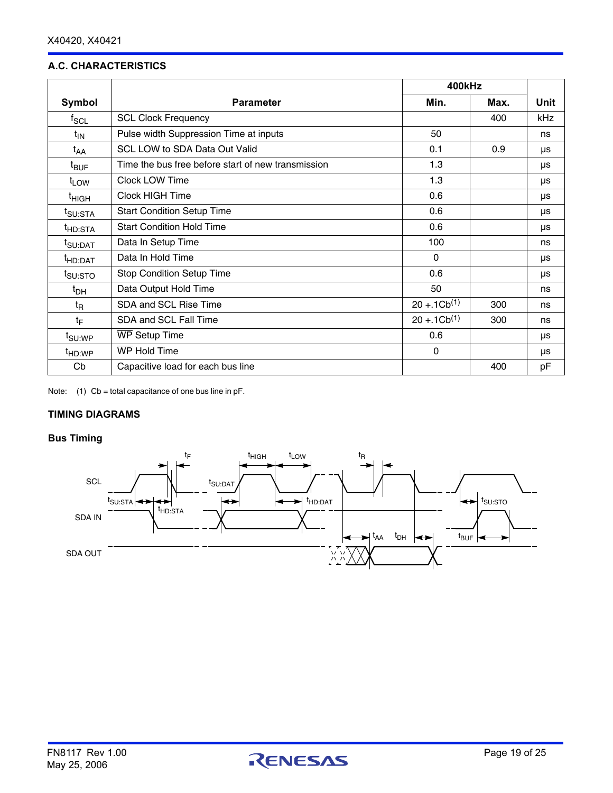# **A.C. CHARACTERISTICS**

|                     |                                                    | 400kHz           |      |      |
|---------------------|----------------------------------------------------|------------------|------|------|
| Symbol              | <b>Parameter</b>                                   | Min.             | Max. | Unit |
| $f_{SCL}$           | <b>SCL Clock Frequency</b>                         |                  | 400  | kHz  |
| $t_{IN}$            | Pulse width Suppression Time at inputs             | 50               |      | ns   |
| t <sub>AA</sub>     | <b>SCL LOW to SDA Data Out Valid</b>               | 0.1              | 0.9  | μs   |
| <sup>t</sup> BUF    | Time the bus free before start of new transmission | 1.3              |      | μs   |
| t <sub>LOW</sub>    | <b>Clock LOW Time</b>                              | 1.3              |      | μs   |
| <sup>t</sup> HIGH   | <b>Clock HIGH Time</b>                             | 0.6              |      | μs   |
| t <sub>SU:STA</sub> | <b>Start Condition Setup Time</b>                  | 0.6              |      | μs   |
| <sup>t</sup> HD:STA | <b>Start Condition Hold Time</b>                   | 0.6              |      | μs   |
| <sup>t</sup> SU:DAT | Data In Setup Time                                 | 100              |      | ns   |
| <sup>t</sup> HD:DAT | Data In Hold Time                                  | $\mathbf{0}$     |      | μs   |
| <sup>1</sup> SU:STO | <b>Stop Condition Setup Time</b>                   | 0.6              |      | μs   |
| t <sub>DH</sub>     | Data Output Hold Time                              | 50               |      | ns   |
| t <sub>R</sub>      | SDA and SCL Rise Time                              | $20 + 1Cb^{(1)}$ | 300  | ns   |
| $t_{\text{F}}$      | SDA and SCL Fall Time                              | $20 + 1Cb^{(1)}$ | 300  | ns   |
| <sup>t</sup> SU:WP  | <b>WP Setup Time</b>                               | 0.6              |      | μs   |
| <sup>t</sup> HD:WP  | WP Hold Time                                       | 0                |      | μs   |
| Cb                  | Capacitive load for each bus line                  |                  | 400  | pF   |

Note:  $(1)$  Cb = total capacitance of one bus line in pF.

# **TIMING DIAGRAMS**

# **Bus Timing**

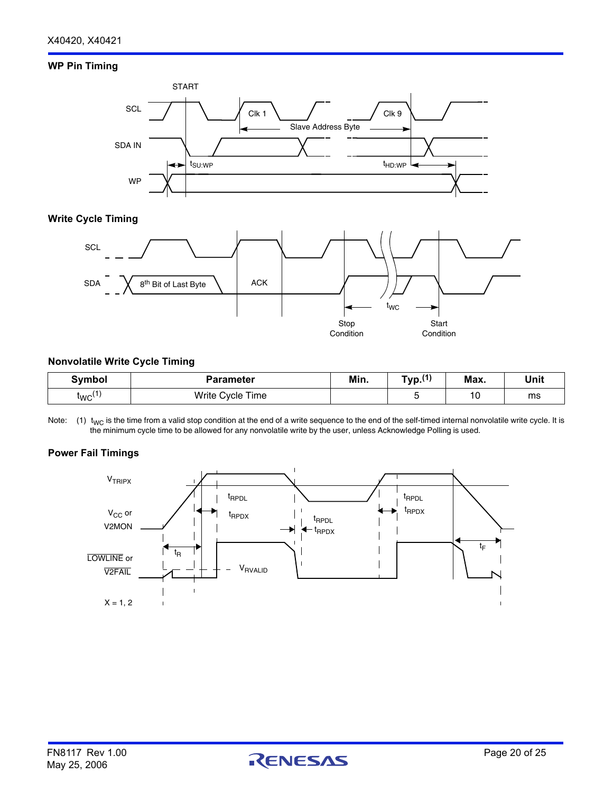## **WP Pin Timing**



#### **Write Cycle Timing**



#### **Nonvolatile Write Cycle Timing**

| Symbol | Parameter        | Min. | $\mathbf{A}$<br>$\tau_{\text{VP}}$ . | Max. | Unit |
|--------|------------------|------|--------------------------------------|------|------|
| 'WC'   | Write Cycle Time |      |                                      | 10   | ms   |

Note: (1)  $t_{\text{WC}}$  is the time from a valid stop condition at the end of a write sequence to the end of the self-timed internal nonvolatile write cycle. It is the minimum cycle time to be allowed for any nonvolatile write by the user, unless Acknowledge Polling is used.

#### **Power Fail Timings**

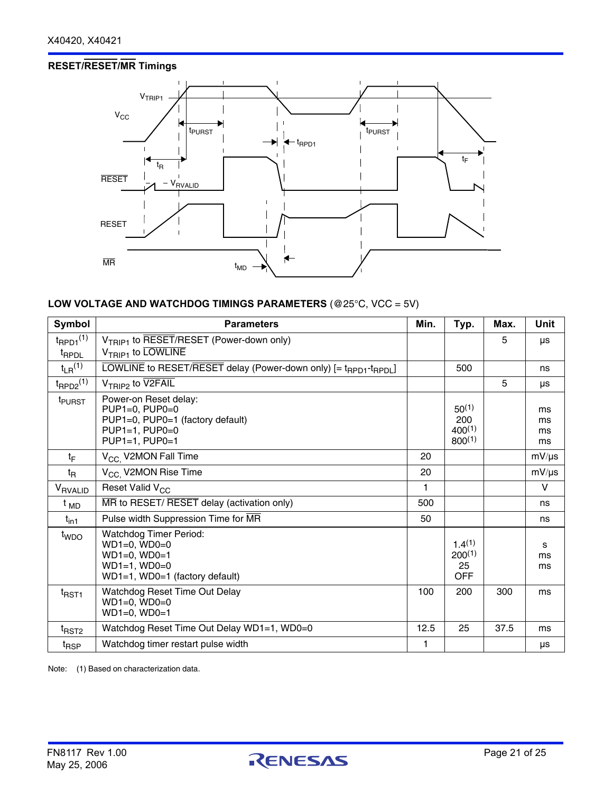# **RESET/RESET/MR Timings**



# **LOW VOLTAGE AND WATCHDOG TIMINGS PARAMETERS** (@25°C, VCC = 5V)

| Symbol                                       | <b>Parameters</b>                                                                                                              | Min. | Typ.                                            | Max. | Unit                 |
|----------------------------------------------|--------------------------------------------------------------------------------------------------------------------------------|------|-------------------------------------------------|------|----------------------|
| $t_{\text{RPD1}}^{(1)}$<br>t <sub>RPDL</sub> | V <sub>TRIP1</sub> to RESET/RESET (Power-down only)<br>$V_{TRIP1}$ to LOWLINE                                                  |      |                                                 | 5    | μs                   |
| $t_{LR}$ <sup>(1)</sup>                      | LOWLINE to RESET/RESET delay (Power-down only) [= t <sub>RPD1</sub> -t <sub>RPDL</sub> ]                                       |      | 500                                             |      | ns                   |
| $t_{\text{RPD2}}^{(1)}$                      | $V_{TRIP2}$ to $V2FAIL$                                                                                                        |      |                                                 | 5    | μs                   |
| t <sub>PURST</sub>                           | Power-on Reset delay:<br>$PUP1=0.$ $PUP0=0$<br>PUP1=0, PUP0=1 (factory default)<br>$PUP1=1. PUP0=0$<br>PUP1=1, PUP0=1          |      | $50^{(1)}$<br>200<br>$400^{(1)}$<br>$800^{(1)}$ |      | ms<br>ms<br>ms<br>ms |
| $t_{\mathsf{F}}$                             | V <sub>CC.</sub> V2MON Fall Time                                                                                               | 20   |                                                 |      | $mV/\mu s$           |
| $t_{\mathsf{R}}$                             | V <sub>CC.</sub> V2MON Rise Time                                                                                               | 20   |                                                 |      | $mV/\mu s$           |
| V <sub>RVALID</sub>                          | Reset Valid V <sub>CC</sub>                                                                                                    | 1    |                                                 |      | V                    |
| <sup>t</sup> MD                              | MR to RESET/ RESET delay (activation only)                                                                                     | 500  |                                                 |      | ns                   |
| $t_{\text{in1}}$                             | Pulse width Suppression Time for MR                                                                                            | 50   |                                                 |      | ns                   |
| t <sub>WDO</sub>                             | <b>Watchdog Timer Period:</b><br>$WD1=0$ , $WD0=0$<br>$WD1=0$ , $WD0=1$<br>$WD1=1$ , $WD0=0$<br>WD1=1, WD0=1 (factory default) |      | $1.4^{(1)}$<br>$200^{(1)}$<br>25<br><b>OFF</b>  |      | s<br>ms<br>ms        |
| t <sub>RST1</sub>                            | Watchdog Reset Time Out Delay<br>$WD1=0$ , $WD0=0$<br>$WD1=0$ , $WD0=1$                                                        | 100  | 200                                             | 300  | ms                   |
| $t$ RST2                                     | Watchdog Reset Time Out Delay WD1=1, WD0=0                                                                                     | 12.5 | 25                                              | 37.5 | ms                   |
| <sup>t</sup> RSP                             | Watchdog timer restart pulse width                                                                                             | 1    |                                                 |      | μs                   |

Note: (1) Based on characterization data.

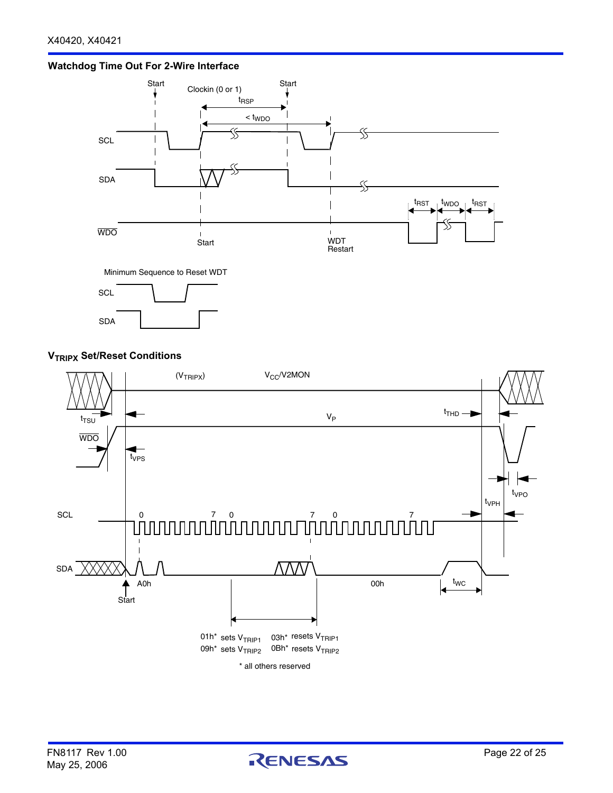



Minimum Sequence to Reset WDT



# **V<sub>TRIPX</sub>** Set/Reset Conditions



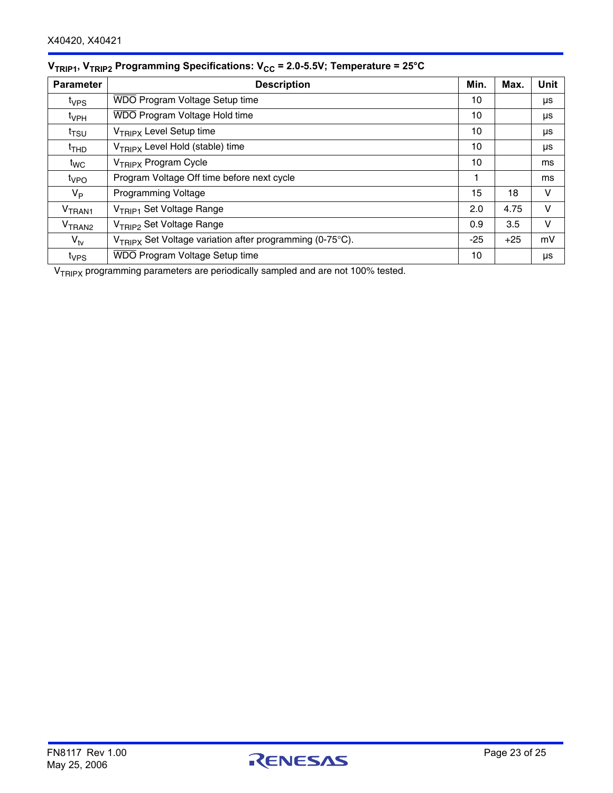| <b>Parameter</b>             | <b>Description</b>                                                   | Min.  | Max.  | <b>Unit</b> |
|------------------------------|----------------------------------------------------------------------|-------|-------|-------------|
| t <sub>VPS</sub>             | WDO Program Voltage Setup time                                       | 10    |       | μs          |
| t <sub>VPH</sub>             | WDO Program Voltage Hold time                                        | 10    |       | μs          |
| t <sub>TSU</sub>             | V <sub>TRIPX</sub> Level Setup time                                  | 10    |       | μs          |
| <sup>t</sup> THD             | V <sub>TRIPX</sub> Level Hold (stable) time                          | 10    |       | μs          |
| t <sub>wc</sub>              | V <sub>TRIPX</sub> Program Cycle                                     | 10    |       | ms          |
| <sup>t</sup> v <sub>PO</sub> | Program Voltage Off time before next cycle                           | 1     |       | ms          |
| V <sub>P</sub>               | <b>Programming Voltage</b>                                           | 15    | 18    | v           |
| V <sub>TRAN1</sub>           | V <sub>TRIP1</sub> Set Voltage Range                                 | 2.0   | 4.75  | v           |
| V <sub>TRAN2</sub>           | V <sub>TRIP2</sub> Set Voltage Range                                 | 0.9   | 3.5   | v           |
| $V_{\text{tv}}$              | V <sub>TRIPX</sub> Set Voltage variation after programming (0-75°C). | $-25$ | $+25$ | mV          |
| t <sub>VPS</sub>             | <b>WDO Program Voltage Setup time</b>                                | 10    |       | μs          |

# **V<sub>TRIP1</sub>, V<sub>TRIP2</sub> Programming Specifications: V<sub>CC</sub> = 2.0-5.5V; Temperature = 25°C**

V<sub>TRIPX</sub> programming parameters are periodically sampled and are not 100% tested.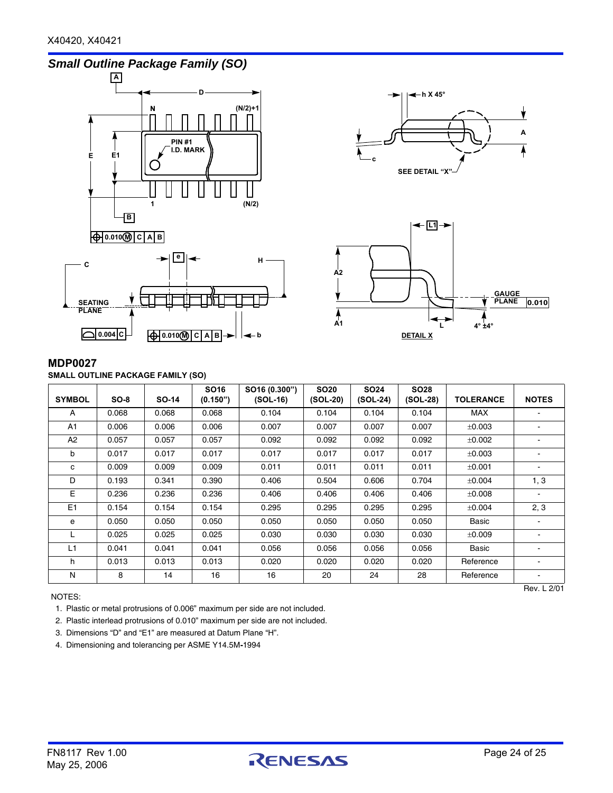









## **MDP0027**

**SMALL OUTLINE PACKAGE FAMILY (SO)**

| <b>SYMBOL</b> | $SO-8$ | <b>SO-14</b> | SO <sub>16</sub><br>(0.150") | SO16 (0.300")<br>$(SOL-16)$ | <b>SO20</b><br>(SOL-20) | <b>SO24</b><br>$(SOL-24)$ | <b>SO28</b><br>$(SOL-28)$ | <b>TOLERANCE</b> | <b>NOTES</b>                 |
|---------------|--------|--------------|------------------------------|-----------------------------|-------------------------|---------------------------|---------------------------|------------------|------------------------------|
| A             | 0.068  | 0.068        | 0.068                        | 0.104                       | 0.104                   | 0.104                     | 0.104                     | MAX              |                              |
| A1            | 0.006  | 0.006        | 0.006                        | 0.007                       | 0.007                   | 0.007                     | 0.007                     | ±0.003           |                              |
| A2            | 0.057  | 0.057        | 0.057                        | 0.092                       | 0.092                   | 0.092                     | 0.092                     | ±0.002           | Ξ.                           |
| b             | 0.017  | 0.017        | 0.017                        | 0.017                       | 0.017                   | 0.017                     | 0.017                     | ±0.003           |                              |
| c             | 0.009  | 0.009        | 0.009                        | 0.011                       | 0.011                   | 0.011                     | 0.011                     | ±0.001           | $\qquad \qquad \blacksquare$ |
| D             | 0.193  | 0.341        | 0.390                        | 0.406                       | 0.504                   | 0.606                     | 0.704                     | $\pm 0.004$      | 1, 3                         |
| E             | 0.236  | 0.236        | 0.236                        | 0.406                       | 0.406                   | 0.406                     | 0.406                     | ±0.008           |                              |
| E1            | 0.154  | 0.154        | 0.154                        | 0.295                       | 0.295                   | 0.295                     | 0.295                     | $\pm 0.004$      | 2, 3                         |
| e             | 0.050  | 0.050        | 0.050                        | 0.050                       | 0.050                   | 0.050                     | 0.050                     | Basic            |                              |
|               | 0.025  | 0.025        | 0.025                        | 0.030                       | 0.030                   | 0.030                     | 0.030                     | ±0.009           |                              |
| L1            | 0.041  | 0.041        | 0.041                        | 0.056                       | 0.056                   | 0.056                     | 0.056                     | Basic            |                              |
| h             | 0.013  | 0.013        | 0.013                        | 0.020                       | 0.020                   | 0.020                     | 0.020                     | Reference        | ۰.                           |
| N             | 8      | 14           | 16                           | 16                          | 20                      | 24                        | 28                        | Reference        | ۰.                           |
|               |        |              |                              |                             |                         |                           |                           |                  | Rev. L 2/01                  |

NOTES:

1. Plastic or metal protrusions of 0.006" maximum per side are not included.

2. Plastic interlead protrusions of 0.010" maximum per side are not included.

3. Dimensions "D" and "E1" are measured at Datum Plane "H".

4. Dimensioning and tolerancing per ASME Y14.5M**-**1994